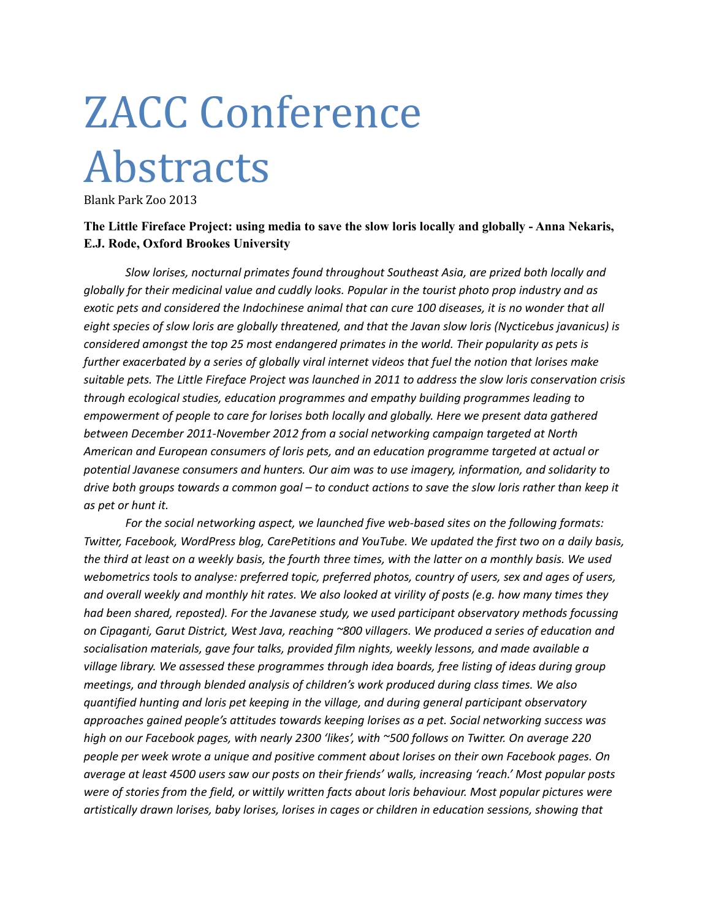# ZACC Conference Abstracts

Blank Park Zoo 2013

# **The Little Fireface Project: using media to save the slow loris locally and globally - Anna Nekaris, E.J. Rode, Oxford Brookes University**

*Slow lorises, nocturnal primates found throughout Southeast Asia, are prized both locally and globally for their medicinal value and cuddly looks. Popular in the tourist photo prop industry and as exotic pets and considered the Indochinese animal that can cure 100 diseases, it is no wonder that all eight species of slow loris are globally threatened, and that the Javan slow loris (Nycticebus javanicus) is considered amongst the top 25 most endangered primates in the world. Their popularity as pets is further exacerbated by a series of globally viral internet videos that fuel the notion that lorises make suitable pets. The Little Fireface Project was launched in 2011 to address the slow loris conservation crisis through ecological studies, education programmes and empathy building programmes leading to empowerment of people to care for lorises both locally and globally. Here we present data gathered between December 2011-November 2012 from a social networking campaign targeted at North American and European consumers of loris pets, and an education programme targeted at actual or potential Javanese consumers and hunters. Our aim was to use imagery, information, and solidarity to drive both groups towards a common goal – to conduct actions to save the slow loris rather than keep it as pet or hunt it.*

*For the social networking aspect, we launched five web-based sites on the following formats: Twitter, Facebook, WordPress blog, CarePetitions and YouTube. We updated the first two on a daily basis, the third at least on a weekly basis, the fourth three times, with the latter on a monthly basis. We used webometrics tools to analyse: preferred topic, preferred photos, country of users, sex and ages of users, and overall weekly and monthly hit rates. We also looked at virility of posts (e.g. how many times they had been shared, reposted). For the Javanese study, we used participant observatory methods focussing on Cipaganti, Garut District, West Java, reaching ~800 villagers. We produced a series of education and socialisation materials, gave four talks, provided film nights, weekly lessons, and made available a village library. We assessed these programmes through idea boards, free listing of ideas during group meetings, and through blended analysis of children's work produced during class times. We also quantified hunting and loris pet keeping in the village, and during general participant observatory approaches gained people's attitudes towards keeping lorises as a pet. Social networking success was high on our Facebook pages, with nearly 2300 'likes', with ~500 follows on Twitter. On average 220 people per week wrote a unique and positive comment about lorises on their own Facebook pages. On average at least 4500 users saw our posts on their friends' walls, increasing 'reach.' Most popular posts were of stories from the field, or wittily written facts about loris behaviour. Most popular pictures were artistically drawn lorises, baby lorises, lorises in cages or children in education sessions, showing that*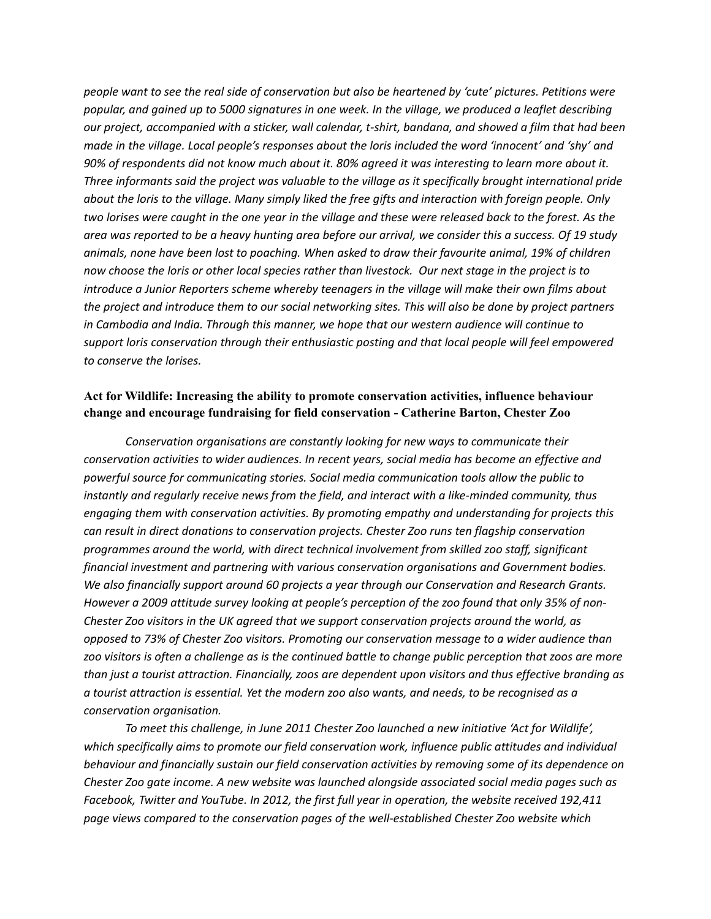*people want to see the real side of conservation but also be heartened by 'cute' pictures. Petitions were popular, and gained up to 5000 signatures in one week. In the village, we produced a leaflet describing our project, accompanied with a sticker, wall calendar, t-shirt, bandana, and showed a film that had been made in the village. Local people's responses about the loris included the word 'innocent' and 'shy' and 90% of respondents did not know much about it. 80% agreed it was interesting to learn more about it. Three informants said the project was valuable to the village as it specifically brought international pride about the loris to the village. Many simply liked the free gifts and interaction with foreign people. Only two lorises were caught in the one year in the village and these were released back to the forest. As the area was reported to be a heavy hunting area before our arrival, we consider this a success. Of 19 study animals, none have been lost to poaching. When asked to draw their favourite animal, 19% of children now choose the loris or other local species rather than livestock. Our next stage in the project is to introduce a Junior Reporters scheme whereby teenagers in the village will make their own films about the project and introduce them to our social networking sites. This will also be done by project partners in Cambodia and India. Through this manner, we hope that our western audience will continue to support loris conservation through their enthusiastic posting and that local people will feel empowered to conserve the lorises.*

#### **Act for Wildlife: Increasing the ability to promote conservation activities, influence behaviour change and encourage fundraising for field conservation - Catherine Barton, Chester Zoo**

*Conservation organisations are constantly looking for new ways to communicate their conservation activities to wider audiences. In recent years, social media has become an effective and powerful source for communicating stories. Social media communication tools allow the public to instantly and regularly receive news from the field, and interact with a like-minded community, thus engaging them with conservation activities. By promoting empathy and understanding for projects this can result in direct donations to conservation projects. Chester Zoo runs ten flagship conservation programmes around the world, with direct technical involvement from skilled zoo staff, significant financial investment and partnering with various conservation organisations and Government bodies. We also financially support around 60 projects a year through our Conservation and Research Grants. However a 2009 attitude survey looking at people's perception of the zoo found that only 35% of non-Chester Zoo visitors in the UK agreed that we support conservation projects around the world, as opposed to 73% of Chester Zoo visitors. Promoting our conservation message to a wider audience than zoo visitors is often a challenge as is the continued battle to change public perception that zoos are more than just a tourist attraction. Financially, zoos are dependent upon visitors and thus effective branding as a tourist attraction is essential. Yet the modern zoo also wants, and needs, to be recognised as a conservation organisation.* 

*To meet this challenge, in June 2011 Chester Zoo launched a new initiative 'Act for Wildlife', which specifically aims to promote our field conservation work, influence public attitudes and individual behaviour and financially sustain our field conservation activities by removing some of its dependence on Chester Zoo gate income. A new website was launched alongside associated social media pages such as Facebook, Twitter and YouTube. In 2012, the first full year in operation, the website received 192,411 page views compared to the conservation pages of the well-established Chester Zoo website which*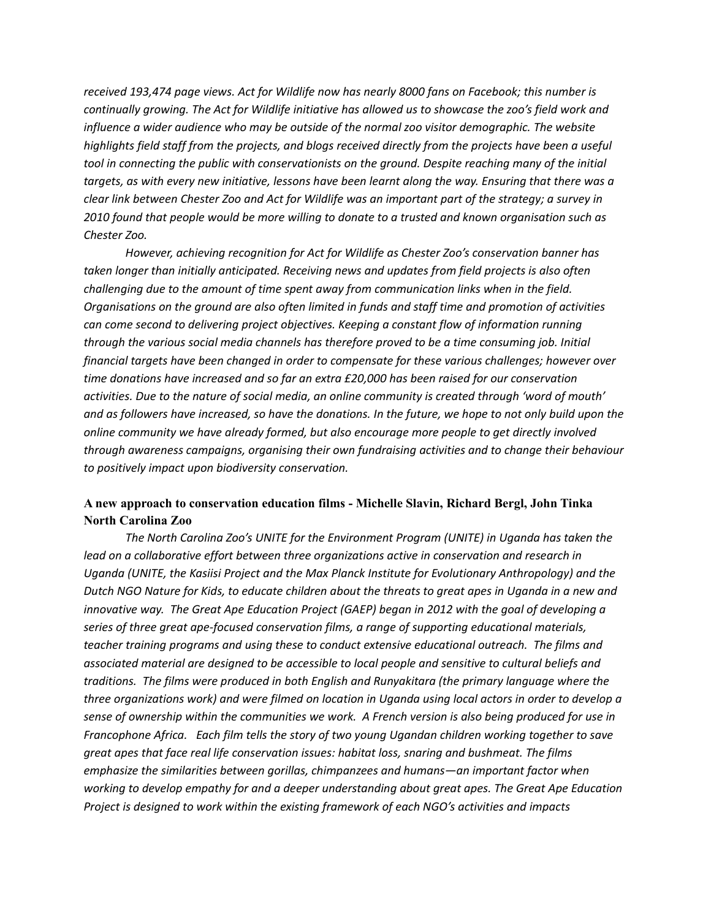*received 193,474 page views. Act for Wildlife now has nearly 8000 fans on Facebook; this number is continually growing. The Act for Wildlife initiative has allowed us to showcase the zoo's field work and influence a wider audience who may be outside of the normal zoo visitor demographic. The website highlights field staff from the projects, and blogs received directly from the projects have been a useful tool in connecting the public with conservationists on the ground. Despite reaching many of the initial targets, as with every new initiative, lessons have been learnt along the way. Ensuring that there was a clear link between Chester Zoo and Act for Wildlife was an important part of the strategy; a survey in 2010 found that people would be more willing to donate to a trusted and known organisation such as Chester Zoo.* 

*However, achieving recognition for Act for Wildlife as Chester Zoo's conservation banner has taken longer than initially anticipated. Receiving news and updates from field projects is also often challenging due to the amount of time spent away from communication links when in the field. Organisations on the ground are also often limited in funds and staff time and promotion of activities can come second to delivering project objectives. Keeping a constant flow of information running through the various social media channels has therefore proved to be a time consuming job. Initial financial targets have been changed in order to compensate for these various challenges; however over time donations have increased and so far an extra £20,000 has been raised for our conservation activities. Due to the nature of social media, an online community is created through 'word of mouth' and as followers have increased, so have the donations. In the future, we hope to not only build upon the online community we have already formed, but also encourage more people to get directly involved through awareness campaigns, organising their own fundraising activities and to change their behaviour to positively impact upon biodiversity conservation.*

# **A new approach to conservation education films - Michelle Slavin, Richard Bergl, John Tinka North Carolina Zoo**

*The North Carolina Zoo's UNITE for the Environment Program (UNITE) in Uganda has taken the lead on a collaborative effort between three organizations active in conservation and research in Uganda (UNITE, the Kasiisi Project and the Max Planck Institute for Evolutionary Anthropology) and the Dutch NGO Nature for Kids, to educate children about the threats to great apes in Uganda in a new and innovative way. The Great Ape Education Project (GAEP) began in 2012 with the goal of developing a series of three great ape-focused conservation films, a range of supporting educational materials, teacher training programs and using these to conduct extensive educational outreach. The films and associated material are designed to be accessible to local people and sensitive to cultural beliefs and traditions. The films were produced in both English and Runyakitara (the primary language where the three organizations work) and were filmed on location in Uganda using local actors in order to develop a sense of ownership within the communities we work. A French version is also being produced for use in Francophone Africa. Each film tells the story of two young Ugandan children working together to save great apes that face real life conservation issues: habitat loss, snaring and bushmeat. The films emphasize the similarities between gorillas, chimpanzees and humans—an important factor when working to develop empathy for and a deeper understanding about great apes. The Great Ape Education Project is designed to work within the existing framework of each NGO's activities and impacts*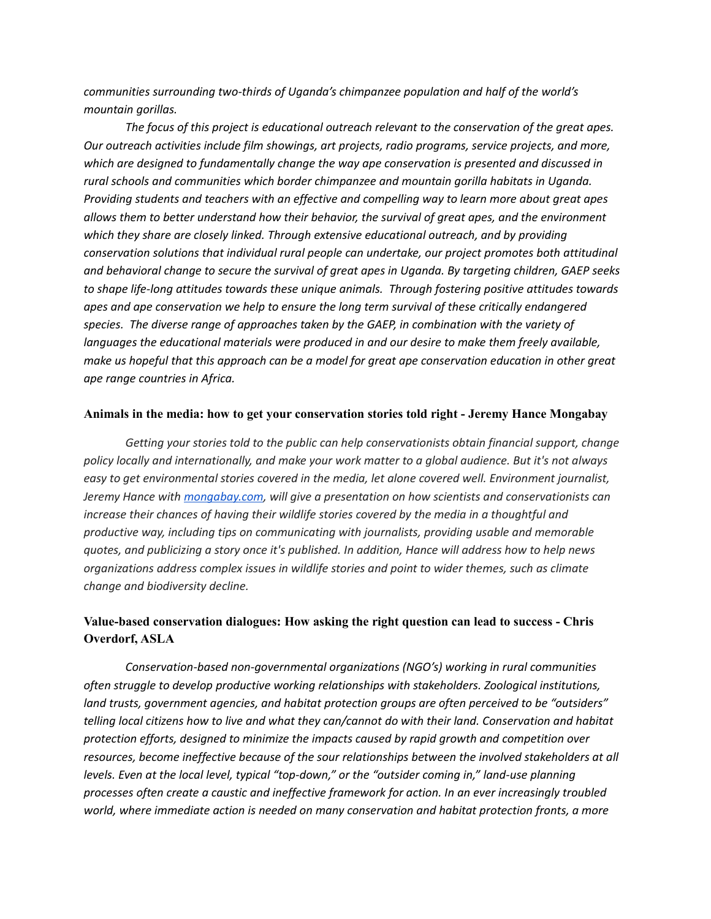*communities surrounding two-thirds of Uganda's chimpanzee population and half of the world's mountain gorillas.* 

*The focus of this project is educational outreach relevant to the conservation of the great apes. Our outreach activities include film showings, art projects, radio programs, service projects, and more, which are designed to fundamentally change the way ape conservation is presented and discussed in rural schools and communities which border chimpanzee and mountain gorilla habitats in Uganda. Providing students and teachers with an effective and compelling way to learn more about great apes allows them to better understand how their behavior, the survival of great apes, and the environment which they share are closely linked. Through extensive educational outreach, and by providing conservation solutions that individual rural people can undertake, our project promotes both attitudinal and behavioral change to secure the survival of great apes in Uganda. By targeting children, GAEP seeks to shape life-long attitudes towards these unique animals. Through fostering positive attitudes towards apes and ape conservation we help to ensure the long term survival of these critically endangered species. The diverse range of approaches taken by the GAEP, in combination with the variety of languages the educational materials were produced in and our desire to make them freely available, make us hopeful that this approach can be a model for great ape conservation education in other great ape range countries in Africa.*

#### **Animals in the media: how to get your conservation stories told right - Jeremy Hance Mongabay**

*Getting your stories told to the public can help conservationists obtain financial support, change policy locally and internationally, and make your work matter to a global audience. But it's not always easy to get environmental stories covered in the media, let alone covered well. Environment journalist, Jeremy Hance with [mongabay.com,](http://mongabay.com/) will give a presentation on how scientists and conservationists can increase their chances of having their wildlife stories covered by the media in a thoughtful and productive way, including tips on communicating with journalists, providing usable and memorable quotes, and publicizing a story once it's published. In addition, Hance will address how to help news organizations address complex issues in wildlife stories and point to wider themes, such as climate change and biodiversity decline.*

# **Value-based conservation dialogues: How asking the right question can lead to success - Chris Overdorf, ASLA**

*Conservation-based non-governmental organizations (NGO's) working in rural communities often struggle to develop productive working relationships with stakeholders. Zoological institutions, land trusts, government agencies, and habitat protection groups are often perceived to be "outsiders" telling local citizens how to live and what they can/cannot do with their land. Conservation and habitat protection efforts, designed to minimize the impacts caused by rapid growth and competition over resources, become ineffective because of the sour relationships between the involved stakeholders at all levels. Even at the local level, typical "top-down," or the "outsider coming in," land-use planning processes often create a caustic and ineffective framework for action. In an ever increasingly troubled world, where immediate action is needed on many conservation and habitat protection fronts, a more*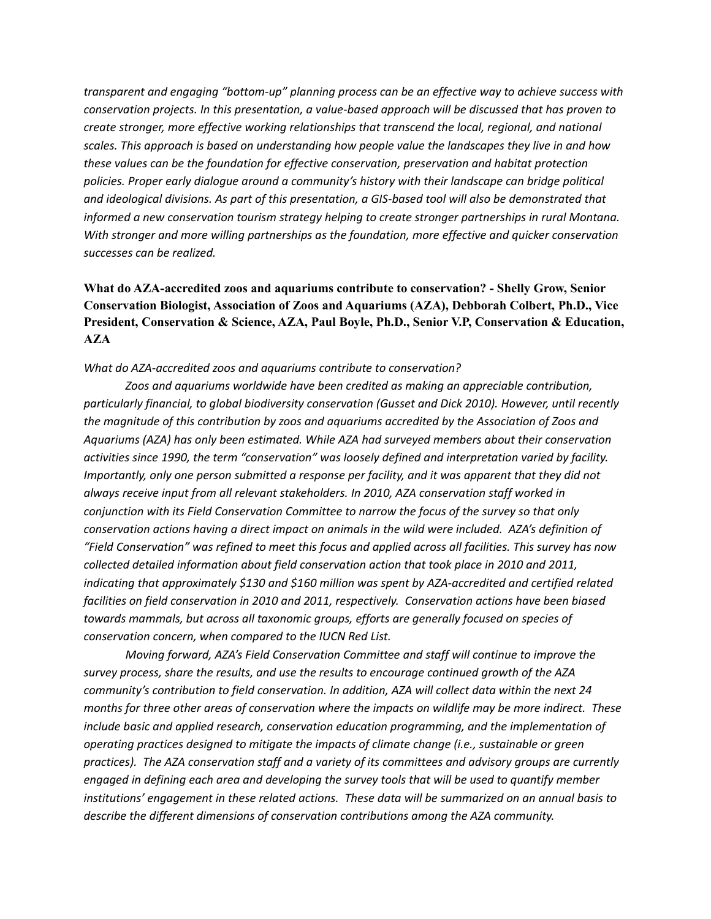*transparent and engaging "bottom-up" planning process can be an effective way to achieve success with conservation projects. In this presentation, a value-based approach will be discussed that has proven to create stronger, more effective working relationships that transcend the local, regional, and national scales. This approach is based on understanding how people value the landscapes they live in and how these values can be the foundation for effective conservation, preservation and habitat protection policies. Proper early dialogue around a community's history with their landscape can bridge political and ideological divisions. As part of this presentation, a GIS-based tool will also be demonstrated that informed a new conservation tourism strategy helping to create stronger partnerships in rural Montana. With stronger and more willing partnerships as the foundation, more effective and quicker conservation successes can be realized.*

# **What do AZA-accredited zoos and aquariums contribute to conservation? - Shelly Grow, Senior Conservation Biologist, Association of Zoos and Aquariums (AZA), Debborah Colbert, Ph.D., Vice President, Conservation & Science, AZA, Paul Boyle, Ph.D., Senior V.P, Conservation & Education, AZA**

#### *What do AZA-accredited zoos and aquariums contribute to conservation?*

*Zoos and aquariums worldwide have been credited as making an appreciable contribution, particularly financial, to global biodiversity conservation (Gusset and Dick 2010). However, until recently the magnitude of this contribution by zoos and aquariums accredited by the Association of Zoos and Aquariums (AZA) has only been estimated. While AZA had surveyed members about their conservation activities since 1990, the term "conservation" was loosely defined and interpretation varied by facility. Importantly, only one person submitted a response per facility, and it was apparent that they did not always receive input from all relevant stakeholders. In 2010, AZA conservation staff worked in conjunction with its Field Conservation Committee to narrow the focus of the survey so that only conservation actions having a direct impact on animals in the wild were included. AZA's definition of "Field Conservation" was refined to meet this focus and applied across all facilities. This survey has now collected detailed information about field conservation action that took place in 2010 and 2011, indicating that approximately \$130 and \$160 million was spent by AZA-accredited and certified related facilities on field conservation in 2010 and 2011, respectively. Conservation actions have been biased towards mammals, but across all taxonomic groups, efforts are generally focused on species of conservation concern, when compared to the IUCN Red List.* 

*Moving forward, AZA's Field Conservation Committee and staff will continue to improve the survey process, share the results, and use the results to encourage continued growth of the AZA community's contribution to field conservation. In addition, AZA will collect data within the next 24 months for three other areas of conservation where the impacts on wildlife may be more indirect. These include basic and applied research, conservation education programming, and the implementation of operating practices designed to mitigate the impacts of climate change (i.e., sustainable or green practices). The AZA conservation staff and a variety of its committees and advisory groups are currently engaged in defining each area and developing the survey tools that will be used to quantify member institutions' engagement in these related actions. These data will be summarized on an annual basis to describe the different dimensions of conservation contributions among the AZA community.*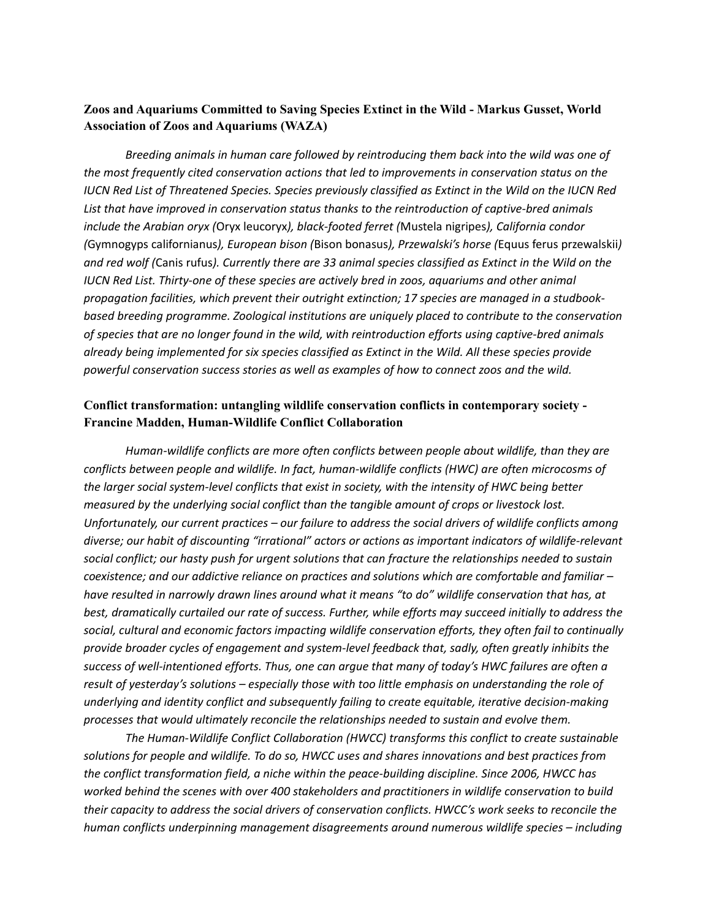# **Zoos and Aquariums Committed to Saving Species Extinct in the Wild - Markus Gusset, World Association of Zoos and Aquariums (WAZA)**

*Breeding animals in human care followed by reintroducing them back into the wild was one of the most frequently cited conservation actions that led to improvements in conservation status on the IUCN Red List of Threatened Species. Species previously classified as Extinct in the Wild on the IUCN Red List that have improved in conservation status thanks to the reintroduction of captive-bred animals include the Arabian oryx (*Oryx leucoryx*), black-footed ferret (*Mustela nigripes*), California condor (*Gymnogyps californianus*), European bison (*Bison bonasus*), Przewalski's horse (*Equus ferus przewalskii*) and red wolf (*Canis rufus*). Currently there are 33 animal species classified as Extinct in the Wild on the IUCN Red List. Thirty-one of these species are actively bred in zoos, aquariums and other animal propagation facilities, which prevent their outright extinction; 17 species are managed in a studbookbased breeding programme. Zoological institutions are uniquely placed to contribute to the conservation of species that are no longer found in the wild, with reintroduction efforts using captive-bred animals already being implemented for six species classified as Extinct in the Wild. All these species provide powerful conservation success stories as well as examples of how to connect zoos and the wild.*

# **Conflict transformation: untangling wildlife conservation conflicts in contemporary society - Francine Madden, Human-Wildlife Conflict Collaboration**

*Human-wildlife conflicts are more often conflicts between people about wildlife, than they are conflicts between people and wildlife. In fact, human-wildlife conflicts (HWC) are often microcosms of the larger social system-level conflicts that exist in society, with the intensity of HWC being better measured by the underlying social conflict than the tangible amount of crops or livestock lost. Unfortunately, our current practices – our failure to address the social drivers of wildlife conflicts among diverse; our habit of discounting "irrational" actors or actions as important indicators of wildlife-relevant social conflict; our hasty push for urgent solutions that can fracture the relationships needed to sustain coexistence; and our addictive reliance on practices and solutions which are comfortable and familiar – have resulted in narrowly drawn lines around what it means "to do" wildlife conservation that has, at best, dramatically curtailed our rate of success. Further, while efforts may succeed initially to address the social, cultural and economic factors impacting wildlife conservation efforts, they often fail to continually provide broader cycles of engagement and system-level feedback that, sadly, often greatly inhibits the success of well-intentioned efforts. Thus, one can argue that many of today's HWC failures are often a result of yesterday's solutions – especially those with too little emphasis on understanding the role of underlying and identity conflict and subsequently failing to create equitable, iterative decision-making processes that would ultimately reconcile the relationships needed to sustain and evolve them.*

*The Human-Wildlife Conflict Collaboration (HWCC) transforms this conflict to create sustainable solutions for people and wildlife. To do so, HWCC uses and shares innovations and best practices from the conflict transformation field, a niche within the peace-building discipline. Since 2006, HWCC has worked behind the scenes with over 400 stakeholders and practitioners in wildlife conservation to build their capacity to address the social drivers of conservation conflicts. HWCC's work seeks to reconcile the human conflicts underpinning management disagreements around numerous wildlife species – including*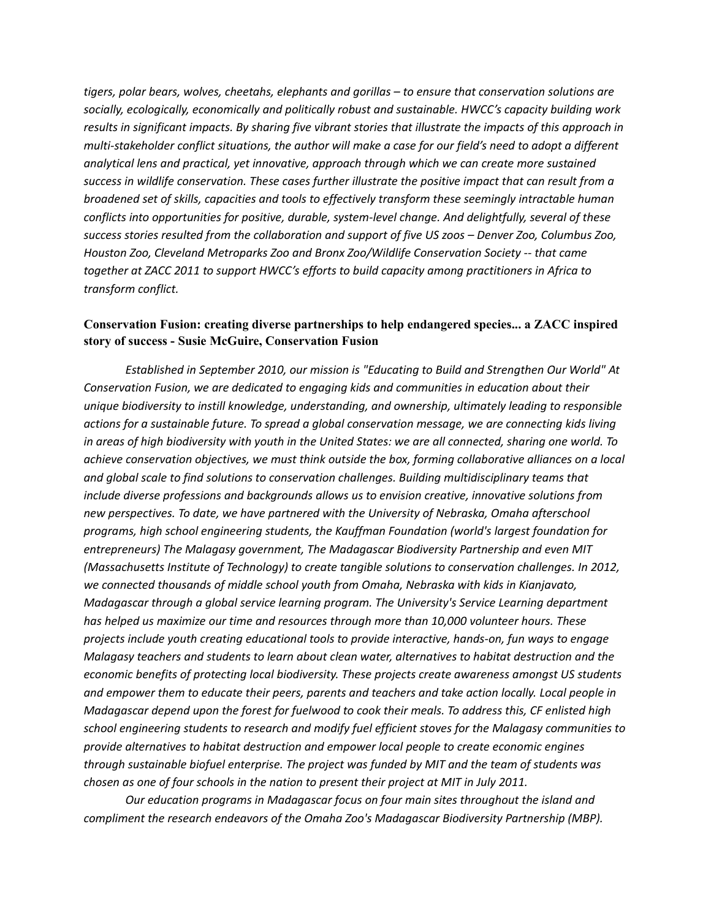*tigers, polar bears, wolves, cheetahs, elephants and gorillas – to ensure that conservation solutions are socially, ecologically, economically and politically robust and sustainable. HWCC's capacity building work results in significant impacts. By sharing five vibrant stories that illustrate the impacts of this approach in multi-stakeholder conflict situations, the author will make a case for our field's need to adopt a different analytical lens and practical, yet innovative, approach through which we can create more sustained success in wildlife conservation. These cases further illustrate the positive impact that can result from a broadened set of skills, capacities and tools to effectively transform these seemingly intractable human conflicts into opportunities for positive, durable, system-level change. And delightfully, several of these success stories resulted from the collaboration and support of five US zoos – Denver Zoo, Columbus Zoo, Houston Zoo, Cleveland Metroparks Zoo and Bronx Zoo/Wildlife Conservation Society -- that came together at ZACC 2011 to support HWCC's efforts to build capacity among practitioners in Africa to transform conflict.*

## **Conservation Fusion: creating diverse partnerships to help endangered species... a ZACC inspired story of success - Susie McGuire, Conservation Fusion**

*Established in September 2010, our mission is "Educating to Build and Strengthen Our World" At Conservation Fusion, we are dedicated to engaging kids and communities in education about their unique biodiversity to instill knowledge, understanding, and ownership, ultimately leading to responsible actions for a sustainable future. To spread a global conservation message, we are connecting kids living in areas of high biodiversity with youth in the United States: we are all connected, sharing one world. To achieve conservation objectives, we must think outside the box, forming collaborative alliances on a local and global scale to find solutions to conservation challenges. Building multidisciplinary teams that include diverse professions and backgrounds allows us to envision creative, innovative solutions from new perspectives. To date, we have partnered with the University of Nebraska, Omaha afterschool programs, high school engineering students, the Kauffman Foundation (world's largest foundation for entrepreneurs) The Malagasy government, The Madagascar Biodiversity Partnership and even MIT (Massachusetts Institute of Technology) to create tangible solutions to conservation challenges. In 2012, we connected thousands of middle school youth from Omaha, Nebraska with kids in Kianjavato, Madagascar through a global service learning program. The University's Service Learning department has helped us maximize our time and resources through more than 10,000 volunteer hours. These projects include youth creating educational tools to provide interactive, hands-on, fun ways to engage Malagasy teachers and students to learn about clean water, alternatives to habitat destruction and the economic benefits of protecting local biodiversity. These projects create awareness amongst US students and empower them to educate their peers, parents and teachers and take action locally. Local people in Madagascar depend upon the forest for fuelwood to cook their meals. To address this, CF enlisted high school engineering students to research and modify fuel efficient stoves for the Malagasy communities to provide alternatives to habitat destruction and empower local people to create economic engines through sustainable biofuel enterprise. The project was funded by MIT and the team of students was chosen as one of four schools in the nation to present their project at MIT in July 2011.* 

*Our education programs in Madagascar focus on four main sites throughout the island and compliment the research endeavors of the Omaha Zoo's Madagascar Biodiversity Partnership (MBP).*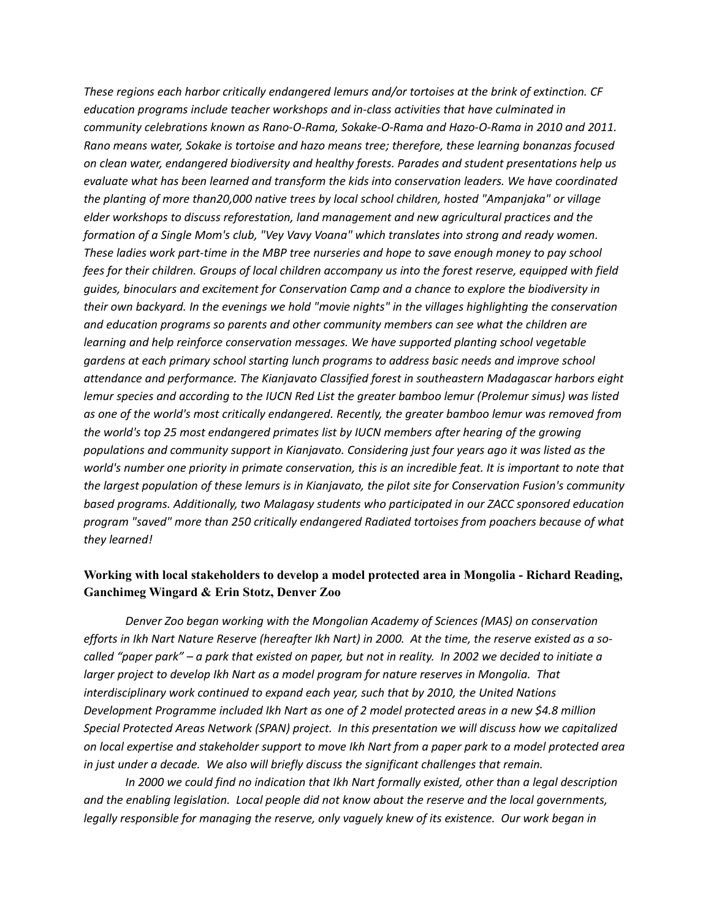*These regions each harbor critically endangered lemurs and/or tortoises at the brink of extinction. CF education programs include teacher workshops and in-class activities that have culminated in community celebrations known as Rano-O-Rama, Sokake-O-Rama and Hazo-O-Rama in 2010 and 2011. Rano means water, Sokake is tortoise and hazo means tree; therefore, these learning bonanzas focused on clean water, endangered biodiversity and healthy forests. Parades and student presentations help us evaluate what has been learned and transform the kids into conservation leaders. We have coordinated the planting of more than20,000 native trees by local school children, hosted "Ampanjaka" or village elder workshops to discuss reforestation, land management and new agricultural practices and the formation of a Single Mom's club, "Vey Vavy Voana" which translates into strong and ready women. These ladies work part-time in the MBP tree nurseries and hope to save enough money to pay school fees for their children. Groups of local children accompany us into the forest reserve, equipped with field guides, binoculars and excitement for Conservation Camp and a chance to explore the biodiversity in their own backyard. In the evenings we hold "movie nights" in the villages highlighting the conservation and education programs so parents and other community members can see what the children are learning and help reinforce conservation messages. We have supported planting school vegetable gardens at each primary school starting lunch programs to address basic needs and improve school attendance and performance. The Kianjavato Classified forest in southeastern Madagascar harbors eight lemur species and according to the IUCN Red List the greater bamboo lemur (Prolemur simus) was listed as one of the world's most critically endangered. Recently, the greater bamboo lemur was removed from the world's top 25 most endangered primates list by IUCN members after hearing of the growing populations and community support in Kianjavato. Considering just four years ago it was listed as the world's number one priority in primate conservation, this is an incredible feat. It is important to note that the largest population of these lemurs is in Kianjavato, the pilot site for Conservation Fusion's community based programs. Additionally, two Malagasy students who participated in our ZACC sponsored education program "saved" more than 250 critically endangered Radiated tortoises from poachers because of what they learned!*

#### **Working with local stakeholders to develop a model protected area in Mongolia - Richard Reading, Ganchimeg Wingard & Erin Stotz, Denver Zoo**

*Denver Zoo began working with the Mongolian Academy of Sciences (MAS) on conservation efforts in Ikh Nart Nature Reserve (hereafter Ikh Nart) in 2000. At the time, the reserve existed as a socalled "paper park" – a park that existed on paper, but not in reality. In 2002 we decided to initiate a larger project to develop Ikh Nart as a model program for nature reserves in Mongolia. That interdisciplinary work continued to expand each year, such that by 2010, the United Nations Development Programme included Ikh Nart as one of 2 model protected areas in a new \$4.8 million Special Protected Areas Network (SPAN) project. In this presentation we will discuss how we capitalized on local expertise and stakeholder support to move Ikh Nart from a paper park to a model protected area in just under a decade. We also will briefly discuss the significant challenges that remain.*

*In 2000 we could find no indication that Ikh Nart formally existed, other than a legal description and the enabling legislation. Local people did not know about the reserve and the local governments, legally responsible for managing the reserve, only vaguely knew of its existence. Our work began in*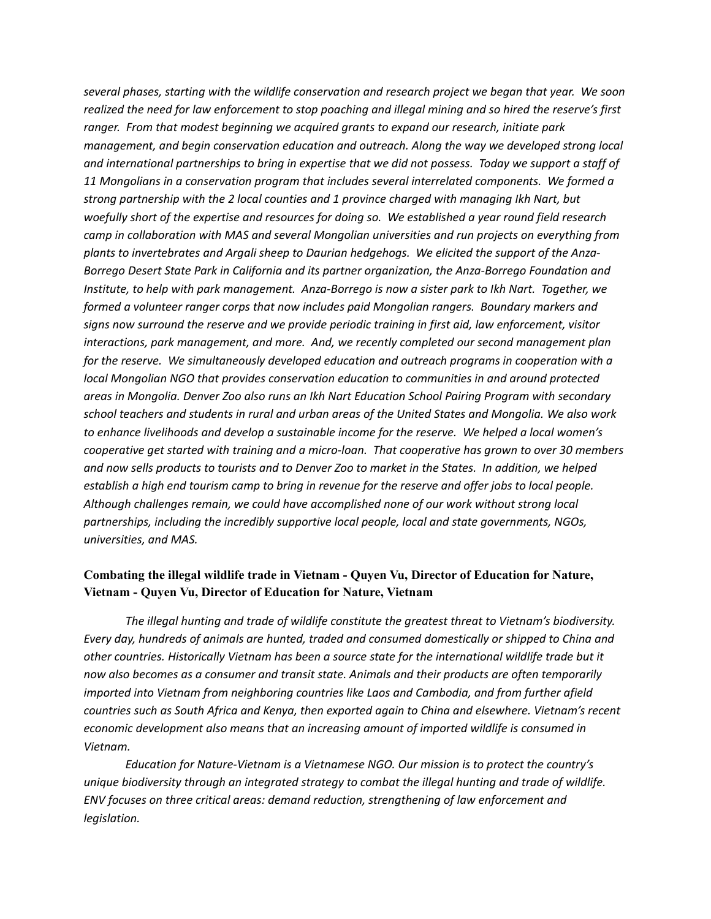*several phases, starting with the wildlife conservation and research project we began that year. We soon realized the need for law enforcement to stop poaching and illegal mining and so hired the reserve's first ranger. From that modest beginning we acquired grants to expand our research, initiate park management, and begin conservation education and outreach. Along the way we developed strong local and international partnerships to bring in expertise that we did not possess. Today we support a staff of 11 Mongolians in a conservation program that includes several interrelated components. We formed a strong partnership with the 2 local counties and 1 province charged with managing Ikh Nart, but woefully short of the expertise and resources for doing so. We established a year round field research camp in collaboration with MAS and several Mongolian universities and run projects on everything from plants to invertebrates and Argali sheep to Daurian hedgehogs. We elicited the support of the Anza-Borrego Desert State Park in California and its partner organization, the Anza-Borrego Foundation and Institute, to help with park management. Anza-Borrego is now a sister park to Ikh Nart. Together, we formed a volunteer ranger corps that now includes paid Mongolian rangers. Boundary markers and signs now surround the reserve and we provide periodic training in first aid, law enforcement, visitor interactions, park management, and more. And, we recently completed our second management plan for the reserve. We simultaneously developed education and outreach programs in cooperation with a local Mongolian NGO that provides conservation education to communities in and around protected areas in Mongolia. Denver Zoo also runs an Ikh Nart Education School Pairing Program with secondary school teachers and students in rural and urban areas of the United States and Mongolia. We also work to enhance livelihoods and develop a sustainable income for the reserve. We helped a local women's cooperative get started with training and a micro-loan. That cooperative has grown to over 30 members and now sells products to tourists and to Denver Zoo to market in the States. In addition, we helped establish a high end tourism camp to bring in revenue for the reserve and offer jobs to local people. Although challenges remain, we could have accomplished none of our work without strong local partnerships, including the incredibly supportive local people, local and state governments, NGOs, universities, and MAS.*

#### **Combating the illegal wildlife trade in Vietnam - Quyen Vu, Director of Education for Nature, Vietnam - Quyen Vu, Director of Education for Nature, Vietnam**

*The illegal hunting and trade of wildlife constitute the greatest threat to Vietnam's biodiversity. Every day, hundreds of animals are hunted, traded and consumed domestically or shipped to China and other countries. Historically Vietnam has been a source state for the international wildlife trade but it now also becomes as a consumer and transit state. Animals and their products are often temporarily imported into Vietnam from neighboring countries like Laos and Cambodia, and from further afield countries such as South Africa and Kenya, then exported again to China and elsewhere. Vietnam's recent economic development also means that an increasing amount of imported wildlife is consumed in Vietnam.*

*Education for Nature-Vietnam is a Vietnamese NGO. Our mission is to protect the country's unique biodiversity through an integrated strategy to combat the illegal hunting and trade of wildlife. ENV focuses on three critical areas: demand reduction, strengthening of law enforcement and legislation.*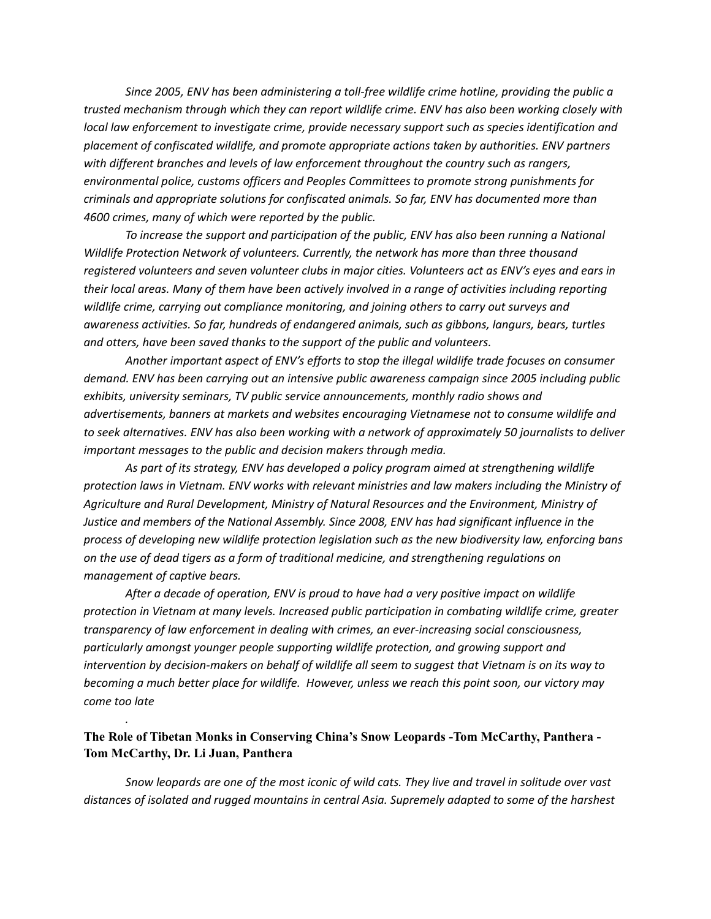*Since 2005, ENV has been administering a toll-free wildlife crime hotline, providing the public a trusted mechanism through which they can report wildlife crime. ENV has also been working closely with local law enforcement to investigate crime, provide necessary support such as species identification and placement of confiscated wildlife, and promote appropriate actions taken by authorities. ENV partners with different branches and levels of law enforcement throughout the country such as rangers, environmental police, customs officers and Peoples Committees to promote strong punishments for criminals and appropriate solutions for confiscated animals. So far, ENV has documented more than 4600 crimes, many of which were reported by the public.*

*To increase the support and participation of the public, ENV has also been running a National Wildlife Protection Network of volunteers. Currently, the network has more than three thousand registered volunteers and seven volunteer clubs in major cities. Volunteers act as ENV's eyes and ears in their local areas. Many of them have been actively involved in a range of activities including reporting wildlife crime, carrying out compliance monitoring, and joining others to carry out surveys and awareness activities. So far, hundreds of endangered animals, such as gibbons, langurs, bears, turtles and otters, have been saved thanks to the support of the public and volunteers.*

*Another important aspect of ENV's efforts to stop the illegal wildlife trade focuses on consumer demand. ENV has been carrying out an intensive public awareness campaign since 2005 including public exhibits, university seminars, TV public service announcements, monthly radio shows and advertisements, banners at markets and websites encouraging Vietnamese not to consume wildlife and to seek alternatives. ENV has also been working with a network of approximately 50 journalists to deliver important messages to the public and decision makers through media.*

*As part of its strategy, ENV has developed a policy program aimed at strengthening wildlife protection laws in Vietnam. ENV works with relevant ministries and law makers including the Ministry of Agriculture and Rural Development, Ministry of Natural Resources and the Environment, Ministry of Justice and members of the National Assembly. Since 2008, ENV has had significant influence in the process of developing new wildlife protection legislation such as the new biodiversity law, enforcing bans on the use of dead tigers as a form of traditional medicine, and strengthening regulations on management of captive bears.*

*After a decade of operation, ENV is proud to have had a very positive impact on wildlife protection in Vietnam at many levels. Increased public participation in combating wildlife crime, greater transparency of law enforcement in dealing with crimes, an ever-increasing social consciousness, particularly amongst younger people supporting wildlife protection, and growing support and intervention by decision-makers on behalf of wildlife all seem to suggest that Vietnam is on its way to becoming a much better place for wildlife. However, unless we reach this point soon, our victory may come too late*

# **The Role of Tibetan Monks in Conserving China's Snow Leopards -Tom McCarthy, Panthera - Tom McCarthy, Dr. Li Juan, Panthera**

*.*

*Snow leopards are one of the most iconic of wild cats. They live and travel in solitude over vast distances of isolated and rugged mountains in central Asia. Supremely adapted to some of the harshest*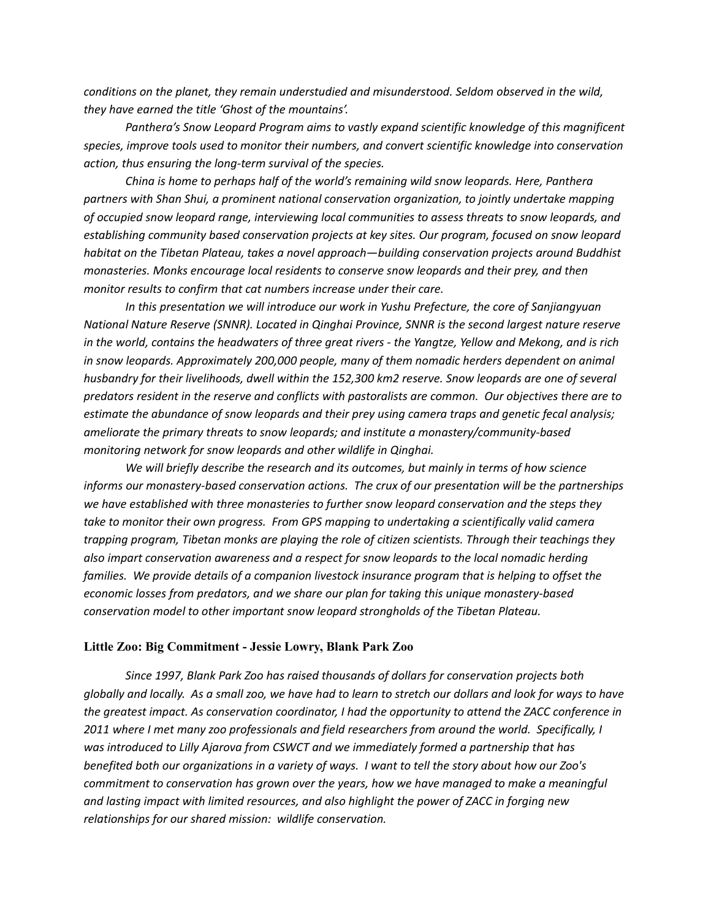*conditions on the planet, they remain understudied and misunderstood. Seldom observed in the wild, they have earned the title 'Ghost of the mountains'.*

*Panthera's Snow Leopard Program aims to vastly expand scientific knowledge of this magnificent species, improve tools used to monitor their numbers, and convert scientific knowledge into conservation action, thus ensuring the long-term survival of the species.*

*China is home to perhaps half of the world's remaining wild snow leopards. Here, Panthera partners with Shan Shui, a prominent national conservation organization, to jointly undertake mapping of occupied snow leopard range, interviewing local communities to assess threats to snow leopards, and establishing community based conservation projects at key sites. Our program, focused on snow leopard habitat on the Tibetan Plateau, takes a novel approach—building conservation projects around Buddhist monasteries. Monks encourage local residents to conserve snow leopards and their prey, and then monitor results to confirm that cat numbers increase under their care.*

*In this presentation we will introduce our work in Yushu Prefecture, the core of Sanjiangyuan National Nature Reserve (SNNR). Located in Qinghai Province, SNNR is the second largest nature reserve in the world, contains the headwaters of three great rivers - the Yangtze, Yellow and Mekong, and is rich in snow leopards. Approximately 200,000 people, many of them nomadic herders dependent on animal husbandry for their livelihoods, dwell within the 152,300 km2 reserve. Snow leopards are one of several predators resident in the reserve and conflicts with pastoralists are common. Our objectives there are to estimate the abundance of snow leopards and their prey using camera traps and genetic fecal analysis; ameliorate the primary threats to snow leopards; and institute a monastery/community-based monitoring network for snow leopards and other wildlife in Qinghai.*

*We will briefly describe the research and its outcomes, but mainly in terms of how science informs our monastery-based conservation actions. The crux of our presentation will be the partnerships we have established with three monasteries to further snow leopard conservation and the steps they take to monitor their own progress. From GPS mapping to undertaking a scientifically valid camera trapping program, Tibetan monks are playing the role of citizen scientists. Through their teachings they also impart conservation awareness and a respect for snow leopards to the local nomadic herding families. We provide details of a companion livestock insurance program that is helping to offset the economic losses from predators, and we share our plan for taking this unique monastery-based conservation model to other important snow leopard strongholds of the Tibetan Plateau.*

#### **Little Zoo: Big Commitment - Jessie Lowry, Blank Park Zoo**

*Since 1997, Blank Park Zoo has raised thousands of dollars for conservation projects both globally and locally. As a small zoo, we have had to learn to stretch our dollars and look for ways to have the greatest impact. As conservation coordinator, I had the opportunity to attend the ZACC conference in 2011 where I met many zoo professionals and field researchers from around the world. Specifically, I was introduced to Lilly Ajarova from CSWCT and we immediately formed a partnership that has benefited both our organizations in a variety of ways. I want to tell the story about how our Zoo's commitment to conservation has grown over the years, how we have managed to make a meaningful and lasting impact with limited resources, and also highlight the power of ZACC in forging new relationships for our shared mission: wildlife conservation.*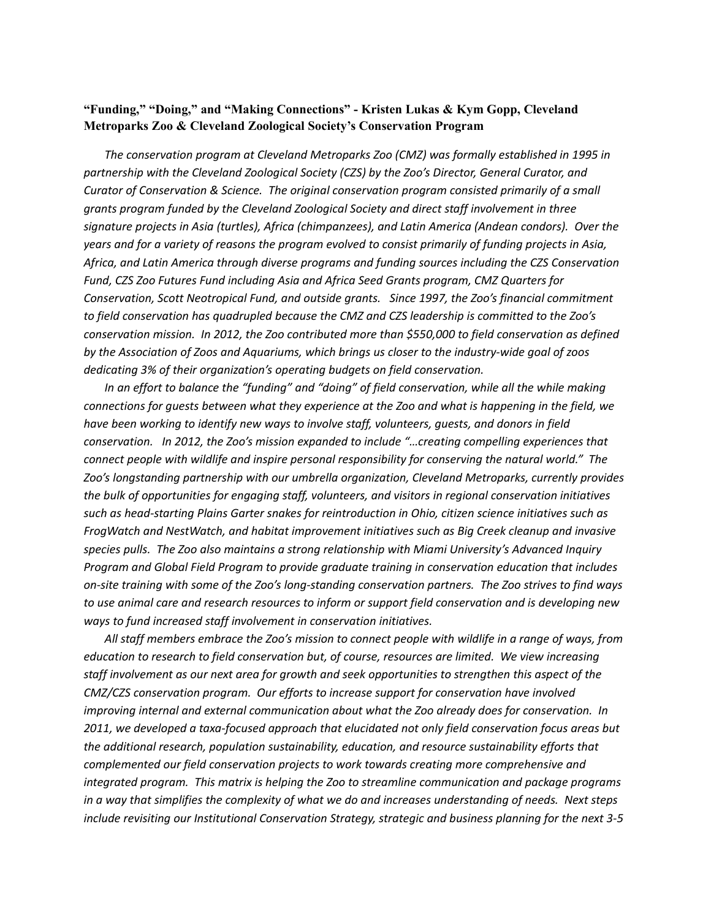# **"Funding," "Doing," and "Making Connections" - Kristen Lukas & Kym Gopp, Cleveland Metroparks Zoo & Cleveland Zoological Society's Conservation Program**

*The conservation program at Cleveland Metroparks Zoo (CMZ) was formally established in 1995 in partnership with the Cleveland Zoological Society (CZS) by the Zoo's Director, General Curator, and Curator of Conservation & Science. The original conservation program consisted primarily of a small grants program funded by the Cleveland Zoological Society and direct staff involvement in three signature projects in Asia (turtles), Africa (chimpanzees), and Latin America (Andean condors). Over the years and for a variety of reasons the program evolved to consist primarily of funding projects in Asia, Africa, and Latin America through diverse programs and funding sources including the CZS Conservation Fund, CZS Zoo Futures Fund including Asia and Africa Seed Grants program, CMZ Quarters for Conservation, Scott Neotropical Fund, and outside grants. Since 1997, the Zoo's financial commitment to field conservation has quadrupled because the CMZ and CZS leadership is committed to the Zoo's conservation mission. In 2012, the Zoo contributed more than \$550,000 to field conservation as defined by the Association of Zoos and Aquariums, which brings us closer to the industry-wide goal of zoos dedicating 3% of their organization's operating budgets on field conservation.*

*In an effort to balance the "funding" and "doing" of field conservation, while all the while making connections for guests between what they experience at the Zoo and what is happening in the field, we have been working to identify new ways to involve staff, volunteers, guests, and donors in field conservation. In 2012, the Zoo's mission expanded to include "…creating compelling experiences that connect people with wildlife and inspire personal responsibility for conserving the natural world." The Zoo's longstanding partnership with our umbrella organization, Cleveland Metroparks, currently provides the bulk of opportunities for engaging staff, volunteers, and visitors in regional conservation initiatives such as head-starting Plains Garter snakes for reintroduction in Ohio, citizen science initiatives such as FrogWatch and NestWatch, and habitat improvement initiatives such as Big Creek cleanup and invasive species pulls. The Zoo also maintains a strong relationship with Miami University's Advanced Inquiry Program and Global Field Program to provide graduate training in conservation education that includes on-site training with some of the Zoo's long-standing conservation partners. The Zoo strives to find ways to use animal care and research resources to inform or support field conservation and is developing new ways to fund increased staff involvement in conservation initiatives.* 

*All staff members embrace the Zoo's mission to connect people with wildlife in a range of ways, from education to research to field conservation but, of course, resources are limited. We view increasing staff involvement as our next area for growth and seek opportunities to strengthen this aspect of the CMZ/CZS conservation program. Our efforts to increase support for conservation have involved improving internal and external communication about what the Zoo already does for conservation. In 2011, we developed a taxa-focused approach that elucidated not only field conservation focus areas but the additional research, population sustainability, education, and resource sustainability efforts that complemented our field conservation projects to work towards creating more comprehensive and integrated program. This matrix is helping the Zoo to streamline communication and package programs in a way that simplifies the complexity of what we do and increases understanding of needs. Next steps include revisiting our Institutional Conservation Strategy, strategic and business planning for the next 3-5*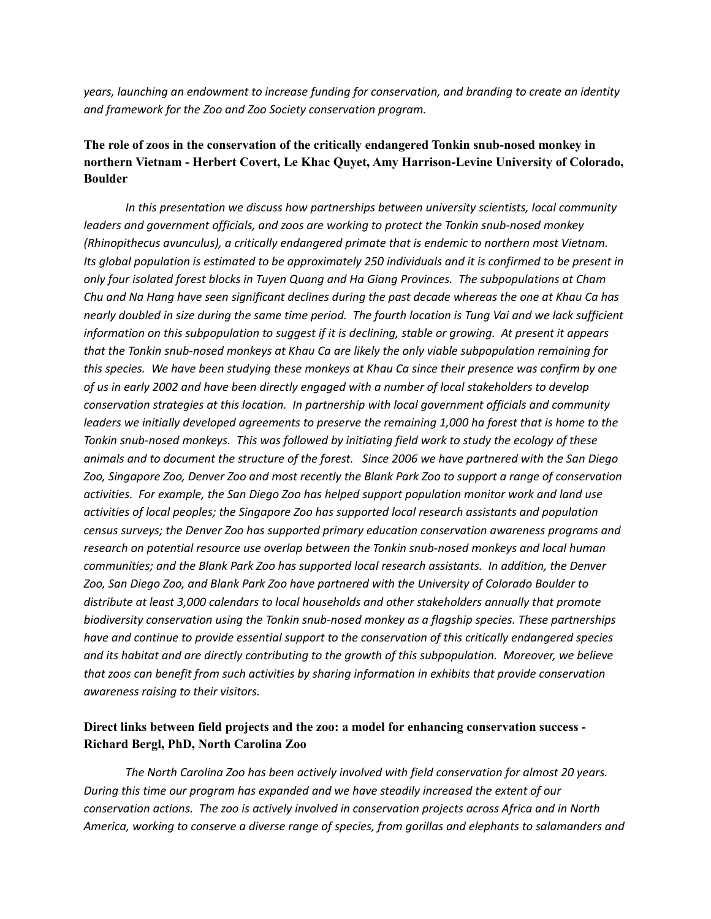*years, launching an endowment to increase funding for conservation, and branding to create an identity and framework for the Zoo and Zoo Society conservation program.*

# **The role of zoos in the conservation of the critically endangered Tonkin snub-nosed monkey in northern Vietnam - Herbert Covert, Le Khac Quyet, Amy Harrison-Levine University of Colorado, Boulder**

*In this presentation we discuss how partnerships between university scientists, local community leaders and government officials, and zoos are working to protect the Tonkin snub-nosed monkey (Rhinopithecus avunculus), a critically endangered primate that is endemic to northern most Vietnam. Its global population is estimated to be approximately 250 individuals and it is confirmed to be present in only four isolated forest blocks in Tuyen Quang and Ha Giang Provinces. The subpopulations at Cham Chu and Na Hang have seen significant declines during the past decade whereas the one at Khau Ca has nearly doubled in size during the same time period. The fourth location is Tung Vai and we lack sufficient information on this subpopulation to suggest if it is declining, stable or growing. At present it appears that the Tonkin snub-nosed monkeys at Khau Ca are likely the only viable subpopulation remaining for this species. We have been studying these monkeys at Khau Ca since their presence was confirm by one of us in early 2002 and have been directly engaged with a number of local stakeholders to develop conservation strategies at this location. In partnership with local government officials and community leaders we initially developed agreements to preserve the remaining 1,000 ha forest that is home to the Tonkin snub-nosed monkeys. This was followed by initiating field work to study the ecology of these animals and to document the structure of the forest. Since 2006 we have partnered with the San Diego Zoo, Singapore Zoo, Denver Zoo and most recently the Blank Park Zoo to support a range of conservation activities. For example, the San Diego Zoo has helped support population monitor work and land use activities of local peoples; the Singapore Zoo has supported local research assistants and population census surveys; the Denver Zoo has supported primary education conservation awareness programs and research on potential resource use overlap between the Tonkin snub-nosed monkeys and local human communities; and the Blank Park Zoo has supported local research assistants. In addition, the Denver Zoo, San Diego Zoo, and Blank Park Zoo have partnered with the University of Colorado Boulder to distribute at least 3,000 calendars to local households and other stakeholders annually that promote biodiversity conservation using the Tonkin snub-nosed monkey as a flagship species. These partnerships have and continue to provide essential support to the conservation of this critically endangered species and its habitat and are directly contributing to the growth of this subpopulation. Moreover, we believe that zoos can benefit from such activities by sharing information in exhibits that provide conservation awareness raising to their visitors.*

# **Direct links between field projects and the zoo: a model for enhancing conservation success - Richard Bergl, PhD, North Carolina Zoo**

*The North Carolina Zoo has been actively involved with field conservation for almost 20 years. During this time our program has expanded and we have steadily increased the extent of our conservation actions. The zoo is actively involved in conservation projects across Africa and in North America, working to conserve a diverse range of species, from gorillas and elephants to salamanders and*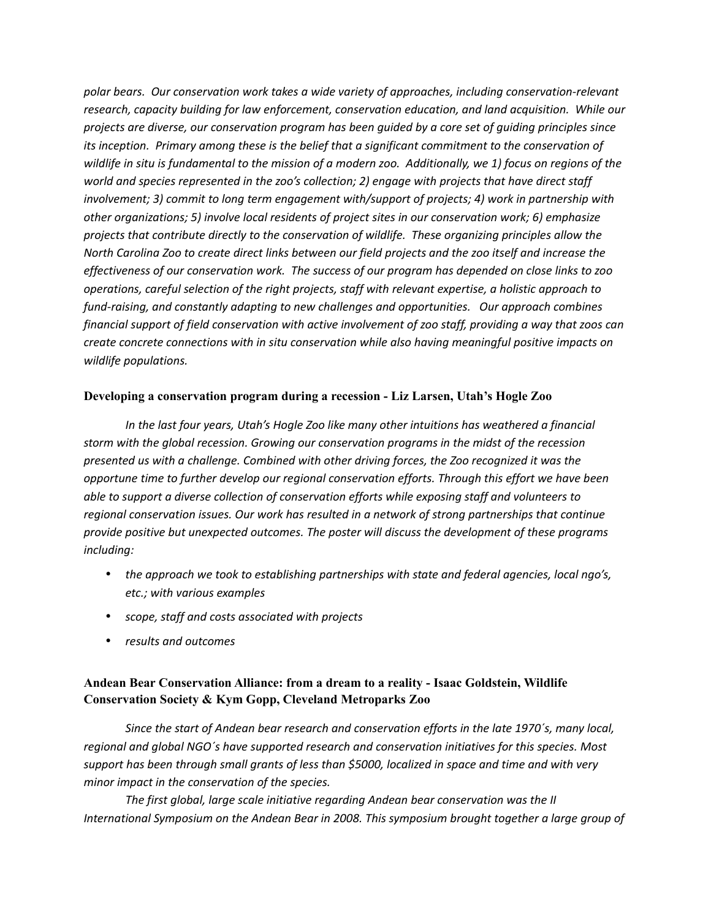*polar bears. Our conservation work takes a wide variety of approaches, including conservation-relevant research, capacity building for law enforcement, conservation education, and land acquisition. While our projects are diverse, our conservation program has been guided by a core set of guiding principles since its inception. Primary among these is the belief that a significant commitment to the conservation of wildlife in situ is fundamental to the mission of a modern zoo. Additionally, we 1) focus on regions of the world and species represented in the zoo's collection; 2) engage with projects that have direct staff involvement; 3) commit to long term engagement with/support of projects; 4) work in partnership with other organizations; 5) involve local residents of project sites in our conservation work; 6) emphasize projects that contribute directly to the conservation of wildlife. These organizing principles allow the North Carolina Zoo to create direct links between our field projects and the zoo itself and increase the effectiveness of our conservation work. The success of our program has depended on close links to zoo operations, careful selection of the right projects, staff with relevant expertise, a holistic approach to fund-raising, and constantly adapting to new challenges and opportunities. Our approach combines financial support of field conservation with active involvement of zoo staff, providing a way that zoos can create concrete connections with in situ conservation while also having meaningful positive impacts on wildlife populations.*

#### **Developing a conservation program during a recession - Liz Larsen, Utah's Hogle Zoo**

*In the last four years, Utah's Hogle Zoo like many other intuitions has weathered a financial storm with the global recession. Growing our conservation programs in the midst of the recession presented us with a challenge. Combined with other driving forces, the Zoo recognized it was the opportune time to further develop our regional conservation efforts. Through this effort we have been able to support a diverse collection of conservation efforts while exposing staff and volunteers to regional conservation issues. Our work has resulted in a network of strong partnerships that continue provide positive but unexpected outcomes. The poster will discuss the development of these programs including:* 

- *the approach we took to establishing partnerships with state and federal agencies, local ngo's, etc.; with various examples*
- *scope, staff and costs associated with projects*
- *results and outcomes*

# **Andean Bear Conservation Alliance: from a dream to a reality - Isaac Goldstein, Wildlife Conservation Society & Kym Gopp, Cleveland Metroparks Zoo**

*Since the start of Andean bear research and conservation efforts in the late 1970´s, many local, regional and global NGO´s have supported research and conservation initiatives for this species. Most support has been through small grants of less than \$5000, localized in space and time and with very minor impact in the conservation of the species.* 

*The first global, large scale initiative regarding Andean bear conservation was the II International Symposium on the Andean Bear in 2008. This symposium brought together a large group of*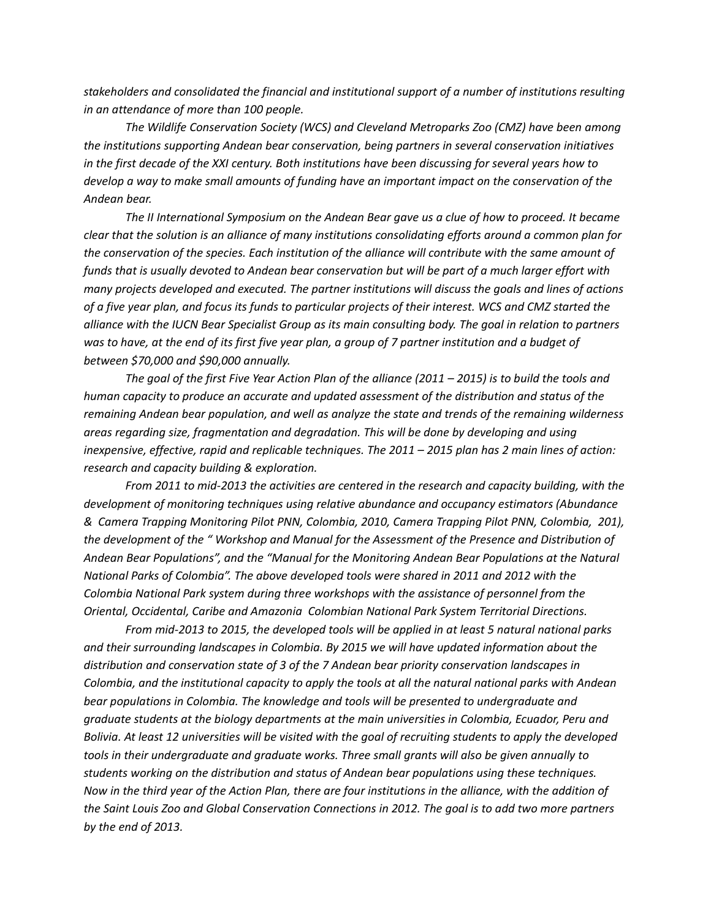*stakeholders and consolidated the financial and institutional support of a number of institutions resulting in an attendance of more than 100 people.* 

*The Wildlife Conservation Society (WCS) and Cleveland Metroparks Zoo (CMZ) have been among the institutions supporting Andean bear conservation, being partners in several conservation initiatives in the first decade of the XXI century. Both institutions have been discussing for several years how to develop a way to make small amounts of funding have an important impact on the conservation of the Andean bear.* 

*The II International Symposium on the Andean Bear gave us a clue of how to proceed. It became clear that the solution is an alliance of many institutions consolidating efforts around a common plan for the conservation of the species. Each institution of the alliance will contribute with the same amount of funds that is usually devoted to Andean bear conservation but will be part of a much larger effort with many projects developed and executed. The partner institutions will discuss the goals and lines of actions of a five year plan, and focus its funds to particular projects of their interest. WCS and CMZ started the alliance with the IUCN Bear Specialist Group as its main consulting body. The goal in relation to partners was to have, at the end of its first five year plan, a group of 7 partner institution and a budget of between \$70,000 and \$90,000 annually.* 

*The goal of the first Five Year Action Plan of the alliance (2011 – 2015) is to build the tools and human capacity to produce an accurate and updated assessment of the distribution and status of the remaining Andean bear population, and well as analyze the state and trends of the remaining wilderness areas regarding size, fragmentation and degradation. This will be done by developing and using inexpensive, effective, rapid and replicable techniques. The 2011 – 2015 plan has 2 main lines of action: research and capacity building & exploration.* 

*From 2011 to mid-2013 the activities are centered in the research and capacity building, with the development of monitoring techniques using relative abundance and occupancy estimators (Abundance & Camera Trapping Monitoring Pilot PNN, Colombia, 2010, Camera Trapping Pilot PNN, Colombia, 201), the development of the " Workshop and Manual for the Assessment of the Presence and Distribution of Andean Bear Populations", and the "Manual for the Monitoring Andean Bear Populations at the Natural National Parks of Colombia". The above developed tools were shared in 2011 and 2012 with the Colombia National Park system during three workshops with the assistance of personnel from the Oriental, Occidental, Caribe and Amazonia Colombian National Park System Territorial Directions.* 

*From mid-2013 to 2015, the developed tools will be applied in at least 5 natural national parks and their surrounding landscapes in Colombia. By 2015 we will have updated information about the distribution and conservation state of 3 of the 7 Andean bear priority conservation landscapes in Colombia, and the institutional capacity to apply the tools at all the natural national parks with Andean bear populations in Colombia. The knowledge and tools will be presented to undergraduate and graduate students at the biology departments at the main universities in Colombia, Ecuador, Peru and Bolivia. At least 12 universities will be visited with the goal of recruiting students to apply the developed tools in their undergraduate and graduate works. Three small grants will also be given annually to students working on the distribution and status of Andean bear populations using these techniques. Now in the third year of the Action Plan, there are four institutions in the alliance, with the addition of the Saint Louis Zoo and Global Conservation Connections in 2012. The goal is to add two more partners by the end of 2013.*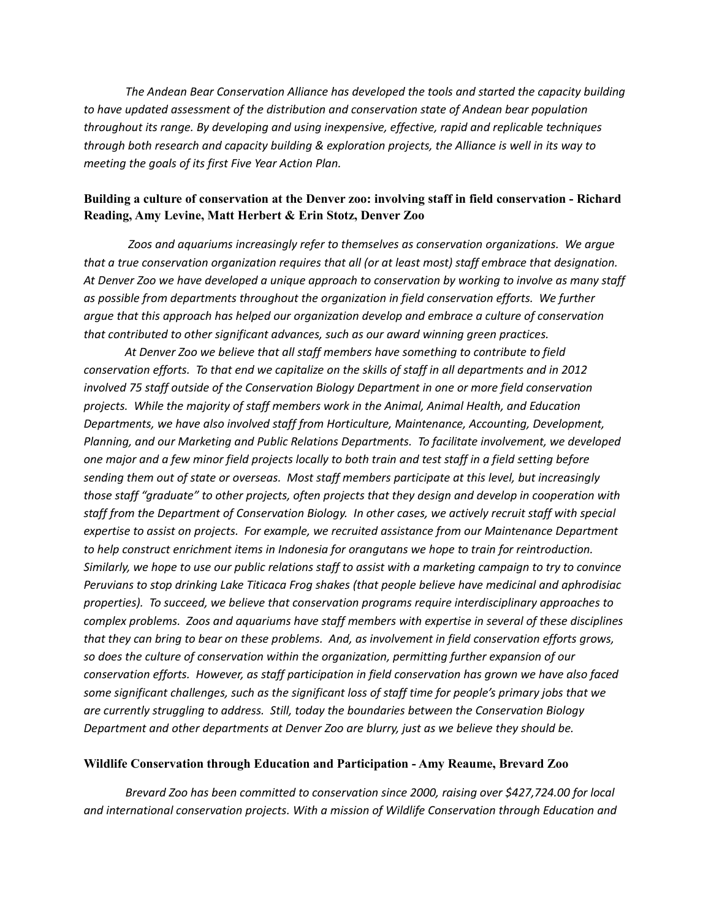*The Andean Bear Conservation Alliance has developed the tools and started the capacity building to have updated assessment of the distribution and conservation state of Andean bear population throughout its range. By developing and using inexpensive, effective, rapid and replicable techniques through both research and capacity building & exploration projects, the Alliance is well in its way to meeting the goals of its first Five Year Action Plan.* 

# **Building a culture of conservation at the Denver zoo: involving staff in field conservation - Richard Reading, Amy Levine, Matt Herbert & Erin Stotz, Denver Zoo**

 *Zoos and aquariums increasingly refer to themselves as conservation organizations. We argue that a true conservation organization requires that all (or at least most) staff embrace that designation. At Denver Zoo we have developed a unique approach to conservation by working to involve as many staff as possible from departments throughout the organization in field conservation efforts. We further argue that this approach has helped our organization develop and embrace a culture of conservation that contributed to other significant advances, such as our award winning green practices.*

*At Denver Zoo we believe that all staff members have something to contribute to field conservation efforts. To that end we capitalize on the skills of staff in all departments and in 2012 involved 75 staff outside of the Conservation Biology Department in one or more field conservation projects. While the majority of staff members work in the Animal, Animal Health, and Education Departments, we have also involved staff from Horticulture, Maintenance, Accounting, Development, Planning, and our Marketing and Public Relations Departments. To facilitate involvement, we developed one major and a few minor field projects locally to both train and test staff in a field setting before sending them out of state or overseas. Most staff members participate at this level, but increasingly those staff "graduate" to other projects, often projects that they design and develop in cooperation with staff from the Department of Conservation Biology. In other cases, we actively recruit staff with special expertise to assist on projects. For example, we recruited assistance from our Maintenance Department to help construct enrichment items in Indonesia for orangutans we hope to train for reintroduction. Similarly, we hope to use our public relations staff to assist with a marketing campaign to try to convince Peruvians to stop drinking Lake Titicaca Frog shakes (that people believe have medicinal and aphrodisiac properties). To succeed, we believe that conservation programs require interdisciplinary approaches to complex problems. Zoos and aquariums have staff members with expertise in several of these disciplines that they can bring to bear on these problems. And, as involvement in field conservation efforts grows, so does the culture of conservation within the organization, permitting further expansion of our conservation efforts. However, as staff participation in field conservation has grown we have also faced some significant challenges, such as the significant loss of staff time for people's primary jobs that we are currently struggling to address. Still, today the boundaries between the Conservation Biology Department and other departments at Denver Zoo are blurry, just as we believe they should be.*

#### **Wildlife Conservation through Education and Participation - Amy Reaume, Brevard Zoo**

*Brevard Zoo has been committed to conservation since 2000, raising over \$427,724.00 for local and international conservation projects. With a mission of Wildlife Conservation through Education and*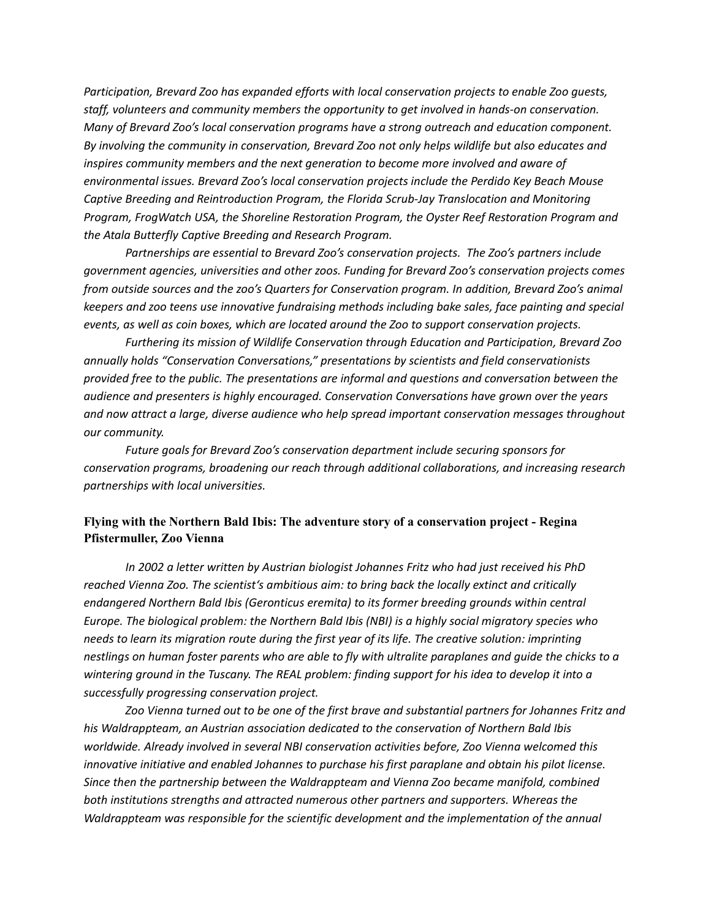*Participation, Brevard Zoo has expanded efforts with local conservation projects to enable Zoo guests, staff, volunteers and community members the opportunity to get involved in hands-on conservation. Many of Brevard Zoo's local conservation programs have a strong outreach and education component. By involving the community in conservation, Brevard Zoo not only helps wildlife but also educates and inspires community members and the next generation to become more involved and aware of environmental issues. Brevard Zoo's local conservation projects include the Perdido Key Beach Mouse Captive Breeding and Reintroduction Program, the Florida Scrub-Jay Translocation and Monitoring Program, FrogWatch USA, the Shoreline Restoration Program, the Oyster Reef Restoration Program and the Atala Butterfly Captive Breeding and Research Program.*

*Partnerships are essential to Brevard Zoo's conservation projects. The Zoo's partners include government agencies, universities and other zoos. Funding for Brevard Zoo's conservation projects comes from outside sources and the zoo's Quarters for Conservation program. In addition, Brevard Zoo's animal keepers and zoo teens use innovative fundraising methods including bake sales, face painting and special events, as well as coin boxes, which are located around the Zoo to support conservation projects.*

*Furthering its mission of Wildlife Conservation through Education and Participation, Brevard Zoo annually holds "Conservation Conversations," presentations by scientists and field conservationists provided free to the public. The presentations are informal and questions and conversation between the audience and presenters is highly encouraged. Conservation Conversations have grown over the years and now attract a large, diverse audience who help spread important conservation messages throughout our community.*

*Future goals for Brevard Zoo's conservation department include securing sponsors for conservation programs, broadening our reach through additional collaborations, and increasing research partnerships with local universities.*

#### **Flying with the Northern Bald Ibis: The adventure story of a conservation project - Regina Pfistermuller, Zoo Vienna**

*In 2002 a letter written by Austrian biologist Johannes Fritz who had just received his PhD reached Vienna Zoo. The scientist's ambitious aim: to bring back the locally extinct and critically endangered Northern Bald Ibis (Geronticus eremita) to its former breeding grounds within central Europe. The biological problem: the Northern Bald Ibis (NBI) is a highly social migratory species who needs to learn its migration route during the first year of its life. The creative solution: imprinting nestlings on human foster parents who are able to fly with ultralite paraplanes and guide the chicks to a wintering ground in the Tuscany. The REAL problem: finding support for his idea to develop it into a successfully progressing conservation project.*

*Zoo Vienna turned out to be one of the first brave and substantial partners for Johannes Fritz and his Waldrappteam, an Austrian association dedicated to the conservation of Northern Bald Ibis worldwide. Already involved in several NBI conservation activities before, Zoo Vienna welcomed this innovative initiative and enabled Johannes to purchase his first paraplane and obtain his pilot license. Since then the partnership between the Waldrappteam and Vienna Zoo became manifold, combined both institutions strengths and attracted numerous other partners and supporters. Whereas the Waldrappteam was responsible for the scientific development and the implementation of the annual*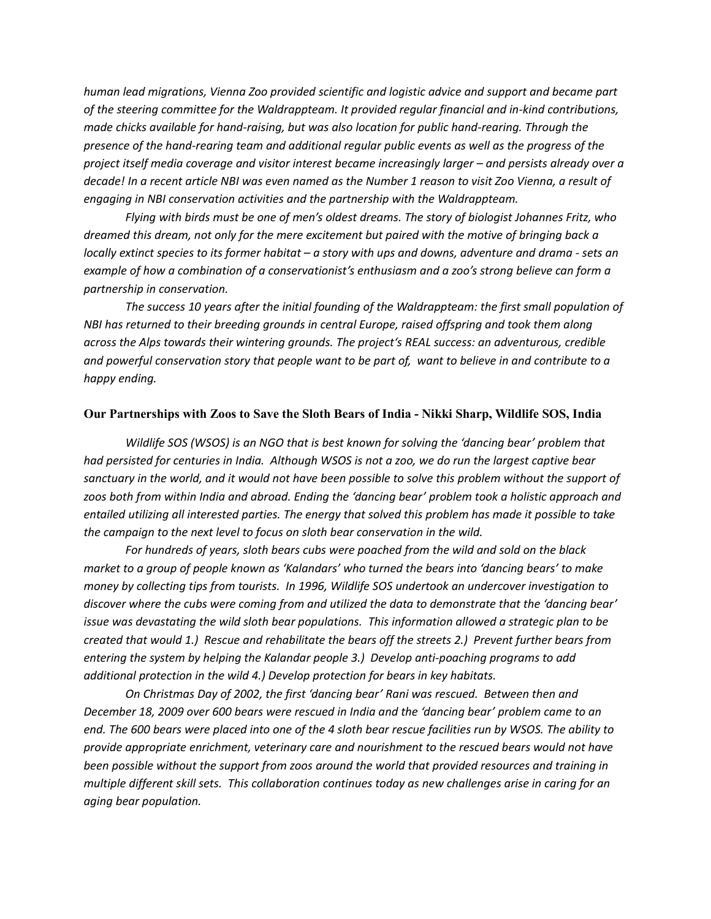*human lead migrations, Vienna Zoo provided scientific and logistic advice and support and became part of the steering committee for the Waldrappteam. It provided regular financial and in-kind contributions, made chicks available for hand-raising, but was also location for public hand-rearing. Through the presence of the hand-rearing team and additional regular public events as well as the progress of the project itself media coverage and visitor interest became increasingly larger – and persists already over a decade! In a recent article NBI was even named as the Number 1 reason to visit Zoo Vienna, a result of engaging in NBI conservation activities and the partnership with the Waldrappteam.*

*Flying with birds must be one of men's oldest dreams. The story of biologist Johannes Fritz, who dreamed this dream, not only for the mere excitement but paired with the motive of bringing back a locally extinct species to its former habitat – a story with ups and downs, adventure and drama - sets an example of how a combination of a conservationist's enthusiasm and a zoo's strong believe can form a partnership in conservation.* 

*The success 10 years after the initial founding of the Waldrappteam: the first small population of NBI has returned to their breeding grounds in central Europe, raised offspring and took them along across the Alps towards their wintering grounds. The project's REAL success: an adventurous, credible and powerful conservation story that people want to be part of, want to believe in and contribute to a happy ending.* 

#### **Our Partnerships with Zoos to Save the Sloth Bears of India - Nikki Sharp, Wildlife SOS, India**

*Wildlife SOS (WSOS) is an NGO that is best known for solving the 'dancing bear' problem that had persisted for centuries in India. Although WSOS is not a zoo, we do run the largest captive bear sanctuary in the world, and it would not have been possible to solve this problem without the support of zoos both from within India and abroad. Ending the 'dancing bear' problem took a holistic approach and entailed utilizing all interested parties. The energy that solved this problem has made it possible to take the campaign to the next level to focus on sloth bear conservation in the wild.*

*For hundreds of years, sloth bears cubs were poached from the wild and sold on the black market to a group of people known as 'Kalandars' who turned the bears into 'dancing bears' to make money by collecting tips from tourists. In 1996, Wildlife SOS undertook an undercover investigation to discover where the cubs were coming from and utilized the data to demonstrate that the 'dancing bear' issue was devastating the wild sloth bear populations. This information allowed a strategic plan to be created that would 1.) Rescue and rehabilitate the bears off the streets 2.) Prevent further bears from entering the system by helping the Kalandar people 3.) Develop anti-poaching programs to add additional protection in the wild 4.) Develop protection for bears in key habitats.*

*On Christmas Day of 2002, the first 'dancing bear' Rani was rescued. Between then and December 18, 2009 over 600 bears were rescued in India and the 'dancing bear' problem came to an end. The 600 bears were placed into one of the 4 sloth bear rescue facilities run by WSOS. The ability to provide appropriate enrichment, veterinary care and nourishment to the rescued bears would not have been possible without the support from zoos around the world that provided resources and training in multiple different skill sets. This collaboration continues today as new challenges arise in caring for an aging bear population.*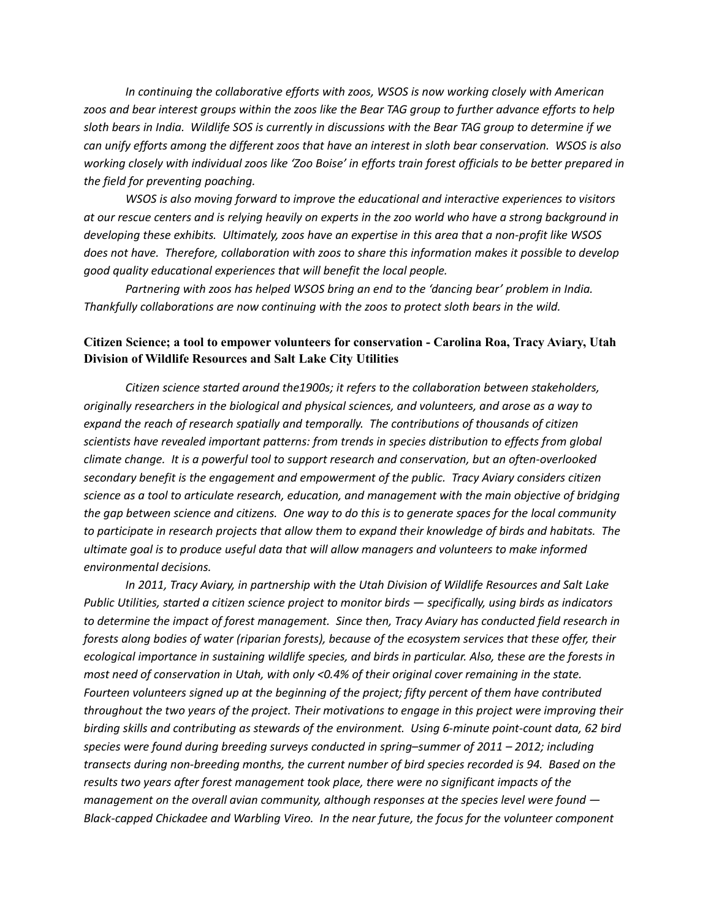*In continuing the collaborative efforts with zoos, WSOS is now working closely with American zoos and bear interest groups within the zoos like the Bear TAG group to further advance efforts to help sloth bears in India. Wildlife SOS is currently in discussions with the Bear TAG group to determine if we can unify efforts among the different zoos that have an interest in sloth bear conservation. WSOS is also working closely with individual zoos like 'Zoo Boise' in efforts train forest officials to be better prepared in the field for preventing poaching.*

*WSOS is also moving forward to improve the educational and interactive experiences to visitors at our rescue centers and is relying heavily on experts in the zoo world who have a strong background in developing these exhibits. Ultimately, zoos have an expertise in this area that a non-profit like WSOS does not have. Therefore, collaboration with zoos to share this information makes it possible to develop good quality educational experiences that will benefit the local people.*

*Partnering with zoos has helped WSOS bring an end to the 'dancing bear' problem in India. Thankfully collaborations are now continuing with the zoos to protect sloth bears in the wild.* 

#### **Citizen Science; a tool to empower volunteers for conservation - Carolina Roa, Tracy Aviary, Utah Division of Wildlife Resources and Salt Lake City Utilities**

*Citizen science started around the1900s; it refers to the collaboration between stakeholders, originally researchers in the biological and physical sciences, and volunteers, and arose as a way to expand the reach of research spatially and temporally. The contributions of thousands of citizen scientists have revealed important patterns: from trends in species distribution to effects from global climate change. It is a powerful tool to support research and conservation, but an often-overlooked secondary benefit is the engagement and empowerment of the public. Tracy Aviary considers citizen science as a tool to articulate research, education, and management with the main objective of bridging the gap between science and citizens. One way to do this is to generate spaces for the local community to participate in research projects that allow them to expand their knowledge of birds and habitats. The ultimate goal is to produce useful data that will allow managers and volunteers to make informed environmental decisions.* 

*In 2011, Tracy Aviary, in partnership with the Utah Division of Wildlife Resources and Salt Lake Public Utilities, started a citizen science project to monitor birds — specifically, using birds as indicators to determine the impact of forest management. Since then, Tracy Aviary has conducted field research in forests along bodies of water (riparian forests), because of the ecosystem services that these offer, their ecological importance in sustaining wildlife species, and birds in particular. Also, these are the forests in most need of conservation in Utah, with only <0.4% of their original cover remaining in the state. Fourteen volunteers signed up at the beginning of the project; fifty percent of them have contributed throughout the two years of the project. Their motivations to engage in this project were improving their birding skills and contributing as stewards of the environment. Using 6-minute point-count data, 62 bird species were found during breeding surveys conducted in spring–summer of 2011 – 2012; including transects during non-breeding months, the current number of bird species recorded is 94. Based on the results two years after forest management took place, there were no significant impacts of the management on the overall avian community, although responses at the species level were found — Black-capped Chickadee and Warbling Vireo. In the near future, the focus for the volunteer component*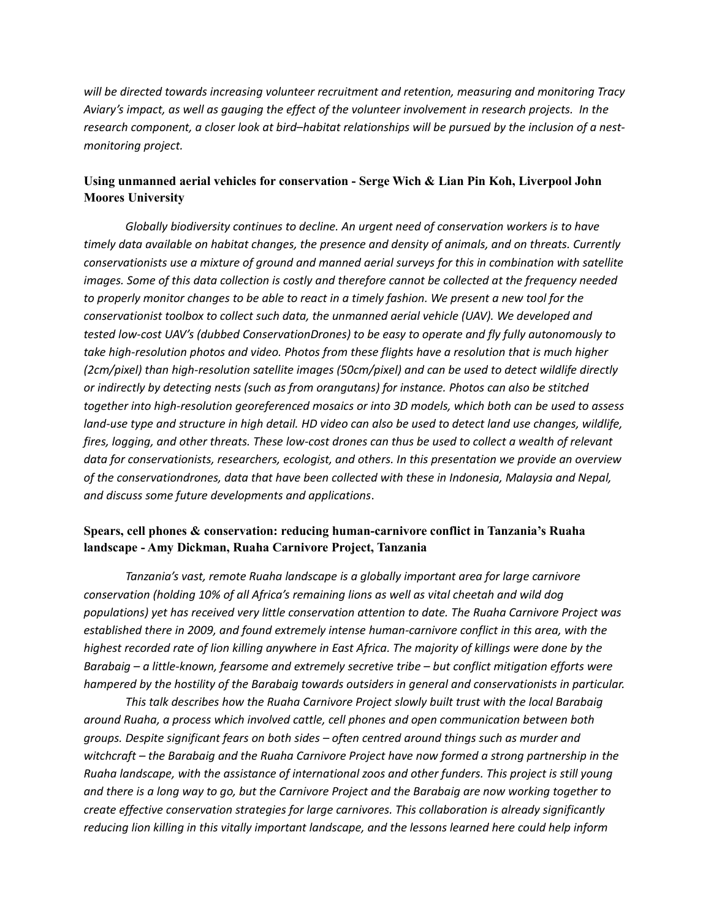*will be directed towards increasing volunteer recruitment and retention, measuring and monitoring Tracy Aviary's impact, as well as gauging the effect of the volunteer involvement in research projects. In the research component, a closer look at bird–habitat relationships will be pursued by the inclusion of a nestmonitoring project.*

#### **Using unmanned aerial vehicles for conservation - Serge Wich & Lian Pin Koh, Liverpool John Moores University**

*Globally biodiversity continues to decline. An urgent need of conservation workers is to have timely data available on habitat changes, the presence and density of animals, and on threats. Currently conservationists use a mixture of ground and manned aerial surveys for this in combination with satellite images. Some of this data collection is costly and therefore cannot be collected at the frequency needed to properly monitor changes to be able to react in a timely fashion. We present a new tool for the conservationist toolbox to collect such data, the unmanned aerial vehicle (UAV). We developed and tested low-cost UAV's (dubbed ConservationDrones) to be easy to operate and fly fully autonomously to take high-resolution photos and video. Photos from these flights have a resolution that is much higher (2cm/pixel) than high-resolution satellite images (50cm/pixel) and can be used to detect wildlife directly or indirectly by detecting nests (such as from orangutans) for instance. Photos can also be stitched together into high-resolution georeferenced mosaics or into 3D models, which both can be used to assess land-use type and structure in high detail. HD video can also be used to detect land use changes, wildlife, fires, logging, and other threats. These low-cost drones can thus be used to collect a wealth of relevant data for conservationists, researchers, ecologist, and others. In this presentation we provide an overview of the conservationdrones, data that have been collected with these in Indonesia, Malaysia and Nepal, and discuss some future developments and applications*.

#### **Spears, cell phones & conservation: reducing human-carnivore conflict in Tanzania's Ruaha landscape - Amy Dickman, Ruaha Carnivore Project, Tanzania**

*Tanzania's vast, remote Ruaha landscape is a globally important area for large carnivore conservation (holding 10% of all Africa's remaining lions as well as vital cheetah and wild dog populations) yet has received very little conservation attention to date. The Ruaha Carnivore Project was established there in 2009, and found extremely intense human-carnivore conflict in this area, with the highest recorded rate of lion killing anywhere in East Africa. The majority of killings were done by the Barabaig – a little-known, fearsome and extremely secretive tribe – but conflict mitigation efforts were hampered by the hostility of the Barabaig towards outsiders in general and conservationists in particular.*

*This talk describes how the Ruaha Carnivore Project slowly built trust with the local Barabaig around Ruaha, a process which involved cattle, cell phones and open communication between both groups. Despite significant fears on both sides – often centred around things such as murder and witchcraft – the Barabaig and the Ruaha Carnivore Project have now formed a strong partnership in the Ruaha landscape, with the assistance of international zoos and other funders. This project is still young and there is a long way to go, but the Carnivore Project and the Barabaig are now working together to create effective conservation strategies for large carnivores. This collaboration is already significantly reducing lion killing in this vitally important landscape, and the lessons learned here could help inform*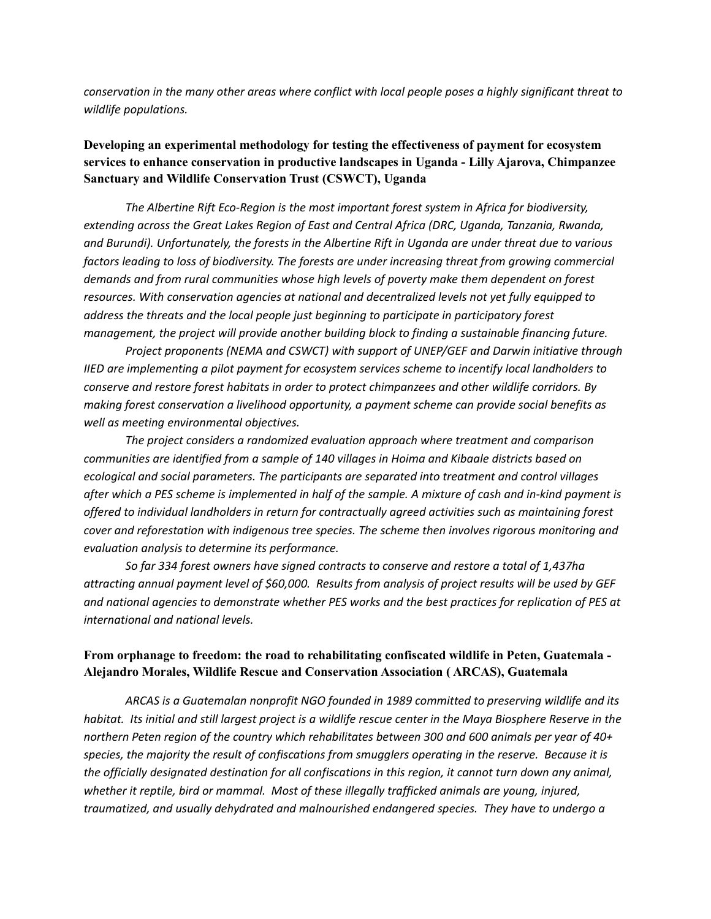*conservation in the many other areas where conflict with local people poses a highly significant threat to wildlife populations.*

# **Developing an experimental methodology for testing the effectiveness of payment for ecosystem services to enhance conservation in productive landscapes in Uganda - Lilly Ajarova, Chimpanzee Sanctuary and Wildlife Conservation Trust (CSWCT), Uganda**

*The Albertine Rift Eco-Region is the most important forest system in Africa for biodiversity, extending across the Great Lakes Region of East and Central Africa (DRC, Uganda, Tanzania, Rwanda, and Burundi). Unfortunately, the forests in the Albertine Rift in Uganda are under threat due to various factors leading to loss of biodiversity. The forests are under increasing threat from growing commercial demands and from rural communities whose high levels of poverty make them dependent on forest resources. With conservation agencies at national and decentralized levels not yet fully equipped to address the threats and the local people just beginning to participate in participatory forest management, the project will provide another building block to finding a sustainable financing future.* 

*Project proponents (NEMA and CSWCT) with support of UNEP/GEF and Darwin initiative through IIED are implementing a pilot payment for ecosystem services scheme to incentify local landholders to conserve and restore forest habitats in order to protect chimpanzees and other wildlife corridors. By making forest conservation a livelihood opportunity, a payment scheme can provide social benefits as well as meeting environmental objectives.* 

*The project considers a randomized evaluation approach where treatment and comparison communities are identified from a sample of 140 villages in Hoima and Kibaale districts based on ecological and social parameters. The participants are separated into treatment and control villages after which a PES scheme is implemented in half of the sample. A mixture of cash and in-kind payment is offered to individual landholders in return for contractually agreed activities such as maintaining forest cover and reforestation with indigenous tree species. The scheme then involves rigorous monitoring and evaluation analysis to determine its performance.* 

*So far 334 forest owners have signed contracts to conserve and restore a total of 1,437ha attracting annual payment level of \$60,000. Results from analysis of project results will be used by GEF and national agencies to demonstrate whether PES works and the best practices for replication of PES at international and national levels.*

#### **From orphanage to freedom: the road to rehabilitating confiscated wildlife in Peten, Guatemala - Alejandro Morales, Wildlife Rescue and Conservation Association ( ARCAS), Guatemala**

*ARCAS is a Guatemalan nonprofit NGO founded in 1989 committed to preserving wildlife and its habitat. Its initial and still largest project is a wildlife rescue center in the Maya Biosphere Reserve in the northern Peten region of the country which rehabilitates between 300 and 600 animals per year of 40+ species, the majority the result of confiscations from smugglers operating in the reserve. Because it is the officially designated destination for all confiscations in this region, it cannot turn down any animal, whether it reptile, bird or mammal. Most of these illegally trafficked animals are young, injured, traumatized, and usually dehydrated and malnourished endangered species. They have to undergo a*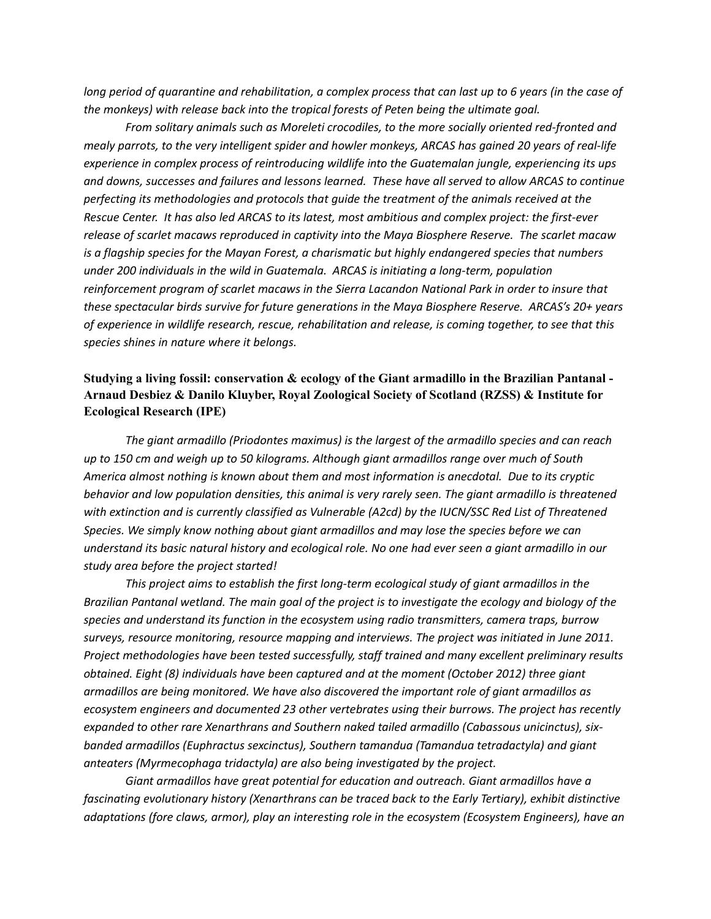*long period of quarantine and rehabilitation, a complex process that can last up to 6 years (in the case of the monkeys) with release back into the tropical forests of Peten being the ultimate goal.* 

*From solitary animals such as Moreleti crocodiles, to the more socially oriented red-fronted and mealy parrots, to the very intelligent spider and howler monkeys, ARCAS has gained 20 years of real-life experience in complex process of reintroducing wildlife into the Guatemalan jungle, experiencing its ups and downs, successes and failures and lessons learned. These have all served to allow ARCAS to continue perfecting its methodologies and protocols that guide the treatment of the animals received at the Rescue Center. It has also led ARCAS to its latest, most ambitious and complex project: the first-ever release of scarlet macaws reproduced in captivity into the Maya Biosphere Reserve. The scarlet macaw is a flagship species for the Mayan Forest, a charismatic but highly endangered species that numbers under 200 individuals in the wild in Guatemala. ARCAS is initiating a long-term, population reinforcement program of scarlet macaws in the Sierra Lacandon National Park in order to insure that these spectacular birds survive for future generations in the Maya Biosphere Reserve. ARCAS's 20+ years of experience in wildlife research, rescue, rehabilitation and release, is coming together, to see that this species shines in nature where it belongs.*

# **Studying a living fossil: conservation & ecology of the Giant armadillo in the Brazilian Pantanal - Arnaud Desbiez & Danilo Kluyber, Royal Zoological Society of Scotland (RZSS) & Institute for Ecological Research (IPE)**

*The giant armadillo (Priodontes maximus) is the largest of the armadillo species and can reach up to 150 cm and weigh up to 50 kilograms. Although giant armadillos range over much of South America almost nothing is known about them and most information is anecdotal. Due to its cryptic behavior and low population densities, this animal is very rarely seen. The giant armadillo is threatened with extinction and is currently classified as Vulnerable (A2cd) by the IUCN/SSC Red List of Threatened Species. We simply know nothing about giant armadillos and may lose the species before we can understand its basic natural history and ecological role. No one had ever seen a giant armadillo in our study area before the project started!* 

*This project aims to establish the first long-term ecological study of giant armadillos in the Brazilian Pantanal wetland. The main goal of the project is to investigate the ecology and biology of the species and understand its function in the ecosystem using radio transmitters, camera traps, burrow surveys, resource monitoring, resource mapping and interviews. The project was initiated in June 2011. Project methodologies have been tested successfully, staff trained and many excellent preliminary results obtained. Eight (8) individuals have been captured and at the moment (October 2012) three giant armadillos are being monitored. We have also discovered the important role of giant armadillos as ecosystem engineers and documented 23 other vertebrates using their burrows. The project has recently expanded to other rare Xenarthrans and Southern naked tailed armadillo (Cabassous unicinctus), sixbanded armadillos (Euphractus sexcinctus), Southern tamandua (Tamandua tetradactyla) and giant anteaters (Myrmecophaga tridactyla) are also being investigated by the project.*

*Giant armadillos have great potential for education and outreach. Giant armadillos have a fascinating evolutionary history (Xenarthrans can be traced back to the Early Tertiary), exhibit distinctive adaptations (fore claws, armor), play an interesting role in the ecosystem (Ecosystem Engineers), have an*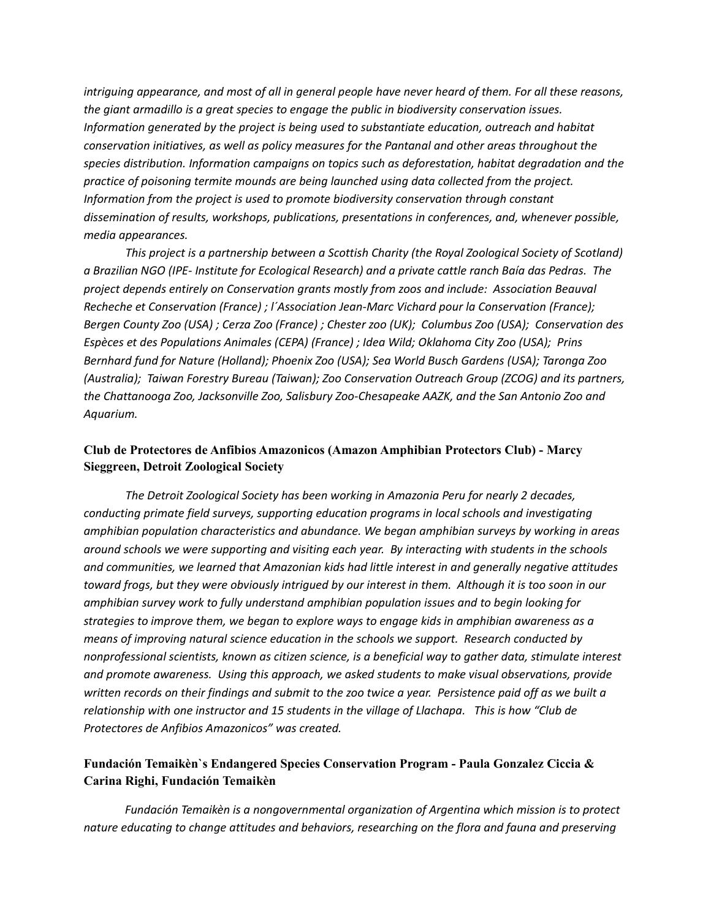*intriguing appearance, and most of all in general people have never heard of them. For all these reasons, the giant armadillo is a great species to engage the public in biodiversity conservation issues. Information generated by the project is being used to substantiate education, outreach and habitat conservation initiatives, as well as policy measures for the Pantanal and other areas throughout the species distribution. Information campaigns on topics such as deforestation, habitat degradation and the practice of poisoning termite mounds are being launched using data collected from the project. Information from the project is used to promote biodiversity conservation through constant dissemination of results, workshops, publications, presentations in conferences, and, whenever possible, media appearances.*

*This project is a partnership between a Scottish Charity (the Royal Zoological Society of Scotland) a Brazilian NGO (IPE- Institute for Ecological Research) and a private cattle ranch Baía das Pedras. The project depends entirely on Conservation grants mostly from zoos and include: Association Beauval Recheche et Conservation (France) ; l´Association Jean-Marc Vichard pour la Conservation (France); Bergen County Zoo (USA) ; Cerza Zoo (France) ; Chester zoo (UK); Columbus Zoo (USA); Conservation des Espèces et des Populations Animales (CEPA) (France) ; Idea Wild; Oklahoma City Zoo (USA); Prins Bernhard fund for Nature (Holland); Phoenix Zoo (USA); Sea World Busch Gardens (USA); Taronga Zoo (Australia); Taiwan Forestry Bureau (Taiwan); Zoo Conservation Outreach Group (ZCOG) and its partners, the Chattanooga Zoo, Jacksonville Zoo, Salisbury Zoo-Chesapeake AAZK, and the San Antonio Zoo and Aquarium.*

#### **Club de Protectores de Anfibios Amazonicos (Amazon Amphibian Protectors Club) - Marcy Sieggreen, Detroit Zoological Society**

*The Detroit Zoological Society has been working in Amazonia Peru for nearly 2 decades, conducting primate field surveys, supporting education programs in local schools and investigating amphibian population characteristics and abundance. We began amphibian surveys by working in areas around schools we were supporting and visiting each year. By interacting with students in the schools and communities, we learned that Amazonian kids had little interest in and generally negative attitudes toward frogs, but they were obviously intrigued by our interest in them. Although it is too soon in our amphibian survey work to fully understand amphibian population issues and to begin looking for strategies to improve them, we began to explore ways to engage kids in amphibian awareness as a means of improving natural science education in the schools we support. Research conducted by nonprofessional scientists, known as citizen science, is a beneficial way to gather data, stimulate interest and promote awareness. Using this approach, we asked students to make visual observations, provide written records on their findings and submit to the zoo twice a year. Persistence paid off as we built a relationship with one instructor and 15 students in the village of Llachapa. This is how "Club de Protectores de Anfibios Amazonicos" was created.*

# **Fundación Temaikèn`s Endangered Species Conservation Program - Paula Gonzalez Ciccia & Carina Righi, Fundación Temaikèn**

*Fundación Temaikèn is a nongovernmental organization of Argentina which mission is to protect nature educating to change attitudes and behaviors, researching on the flora and fauna and preserving*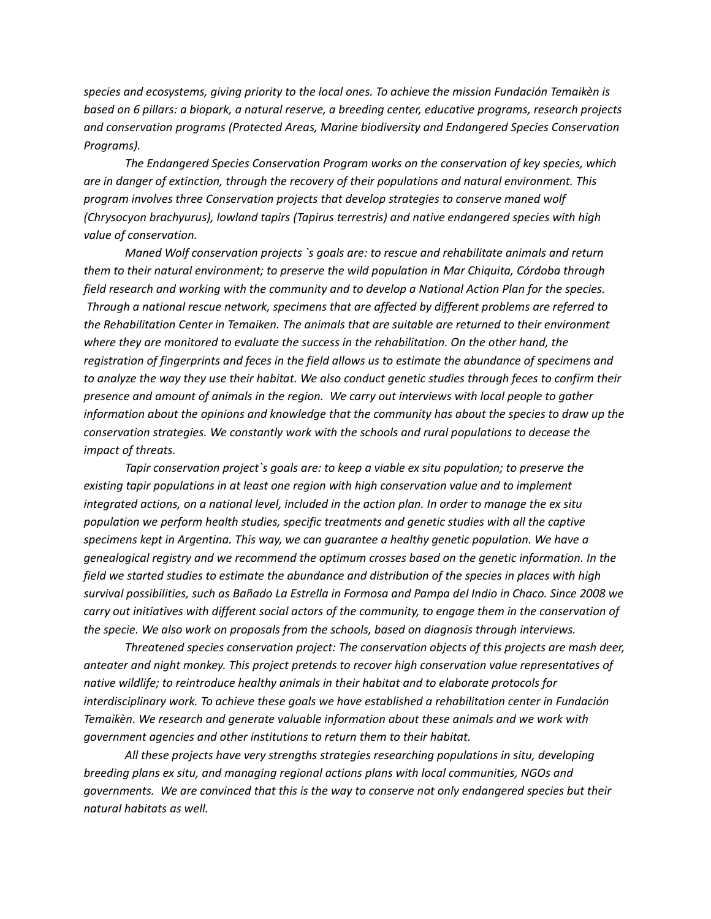*species and ecosystems, giving priority to the local ones. To achieve the mission Fundación Temaikèn is based on 6 pillars: a biopark, a natural reserve, a breeding center, educative programs, research projects and conservation programs (Protected Areas, Marine biodiversity and Endangered Species Conservation Programs).* 

*The Endangered Species Conservation Program works on the conservation of key species, which are in danger of extinction, through the recovery of their populations and natural environment. This program involves three Conservation projects that develop strategies to conserve maned wolf (Chrysocyon brachyurus), lowland tapirs (Tapirus terrestris) and native endangered species with high value of conservation.*

*Maned Wolf conservation projects `s goals are: to rescue and rehabilitate animals and return them to their natural environment; to preserve the wild population in Mar Chiquita, Córdoba through field research and working with the community and to develop a National Action Plan for the species. Through a national rescue network, specimens that are affected by different problems are referred to the Rehabilitation Center in Temaiken. The animals that are suitable are returned to their environment where they are monitored to evaluate the success in the rehabilitation. On the other hand, the registration of fingerprints and feces in the field allows us to estimate the abundance of specimens and to analyze the way they use their habitat. We also conduct genetic studies through feces to confirm their presence and amount of animals in the region. We carry out interviews with local people to gather information about the opinions and knowledge that the community has about the species to draw up the conservation strategies. We constantly work with the schools and rural populations to decease the impact of threats.*

*Tapir conservation project`s goals are: to keep a viable ex situ population; to preserve the existing tapir populations in at least one region with high conservation value and to implement integrated actions, on a national level, included in the action plan. In order to manage the ex situ population we perform health studies, specific treatments and genetic studies with all the captive specimens kept in Argentina. This way, we can guarantee a healthy genetic population. We have a genealogical registry and we recommend the optimum crosses based on the genetic information. In the field we started studies to estimate the abundance and distribution of the species in places with high survival possibilities, such as Bañado La Estrella in Formosa and Pampa del Indio in Chaco. Since 2008 we carry out initiatives with different social actors of the community, to engage them in the conservation of the specie. We also work on proposals from the schools, based on diagnosis through interviews.* 

*Threatened species conservation project: The conservation objects of this projects are mash deer, anteater and night monkey. This project pretends to recover high conservation value representatives of native wildlife; to reintroduce healthy animals in their habitat and to elaborate protocols for interdisciplinary work. To achieve these goals we have established a rehabilitation center in Fundación Temaikèn. We research and generate valuable information about these animals and we work with government agencies and other institutions to return them to their habitat.* 

*All these projects have very strengths strategies researching populations in situ, developing breeding plans ex situ, and managing regional actions plans with local communities, NGOs and governments. We are convinced that this is the way to conserve not only endangered species but their natural habitats as well.*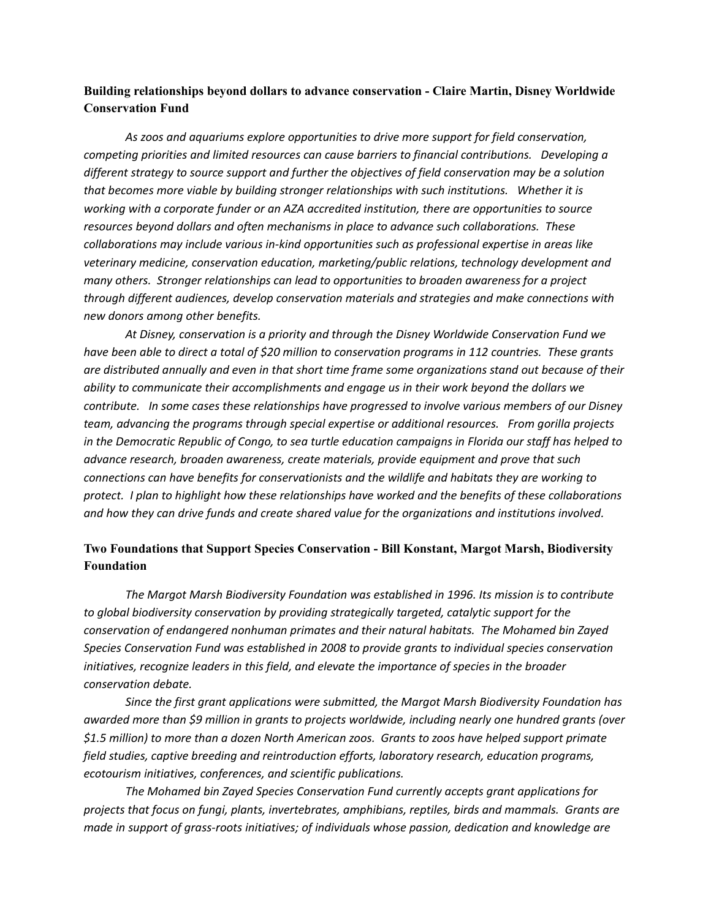## **Building relationships beyond dollars to advance conservation - Claire Martin, Disney Worldwide Conservation Fund**

*As zoos and aquariums explore opportunities to drive more support for field conservation, competing priorities and limited resources can cause barriers to financial contributions. Developing a different strategy to source support and further the objectives of field conservation may be a solution that becomes more viable by building stronger relationships with such institutions. Whether it is working with a corporate funder or an AZA accredited institution, there are opportunities to source resources beyond dollars and often mechanisms in place to advance such collaborations. These collaborations may include various in-kind opportunities such as professional expertise in areas like veterinary medicine, conservation education, marketing/public relations, technology development and many others. Stronger relationships can lead to opportunities to broaden awareness for a project through different audiences, develop conservation materials and strategies and make connections with new donors among other benefits.* 

*At Disney, conservation is a priority and through the Disney Worldwide Conservation Fund we have been able to direct a total of \$20 million to conservation programs in 112 countries. These grants are distributed annually and even in that short time frame some organizations stand out because of their ability to communicate their accomplishments and engage us in their work beyond the dollars we contribute. In some cases these relationships have progressed to involve various members of our Disney team, advancing the programs through special expertise or additional resources. From gorilla projects in the Democratic Republic of Congo, to sea turtle education campaigns in Florida our staff has helped to advance research, broaden awareness, create materials, provide equipment and prove that such connections can have benefits for conservationists and the wildlife and habitats they are working to protect. I plan to highlight how these relationships have worked and the benefits of these collaborations and how they can drive funds and create shared value for the organizations and institutions involved.* 

# **Two Foundations that Support Species Conservation - Bill Konstant, Margot Marsh, Biodiversity Foundation**

*The Margot Marsh Biodiversity Foundation was established in 1996. Its mission is to contribute to global biodiversity conservation by providing strategically targeted, catalytic support for the conservation of endangered nonhuman primates and their natural habitats. The Mohamed bin Zayed Species Conservation Fund was established in 2008 to provide grants to individual species conservation initiatives, recognize leaders in this field, and elevate the importance of species in the broader conservation debate.*

*Since the first grant applications were submitted, the Margot Marsh Biodiversity Foundation has awarded more than \$9 million in grants to projects worldwide, including nearly one hundred grants (over \$1.5 million) to more than a dozen North American zoos. Grants to zoos have helped support primate field studies, captive breeding and reintroduction efforts, laboratory research, education programs, ecotourism initiatives, conferences, and scientific publications.* 

*The Mohamed bin Zayed Species Conservation Fund currently accepts grant applications for projects that focus on fungi, plants, invertebrates, amphibians, reptiles, birds and mammals. Grants are made in support of grass-roots initiatives; of individuals whose passion, dedication and knowledge are*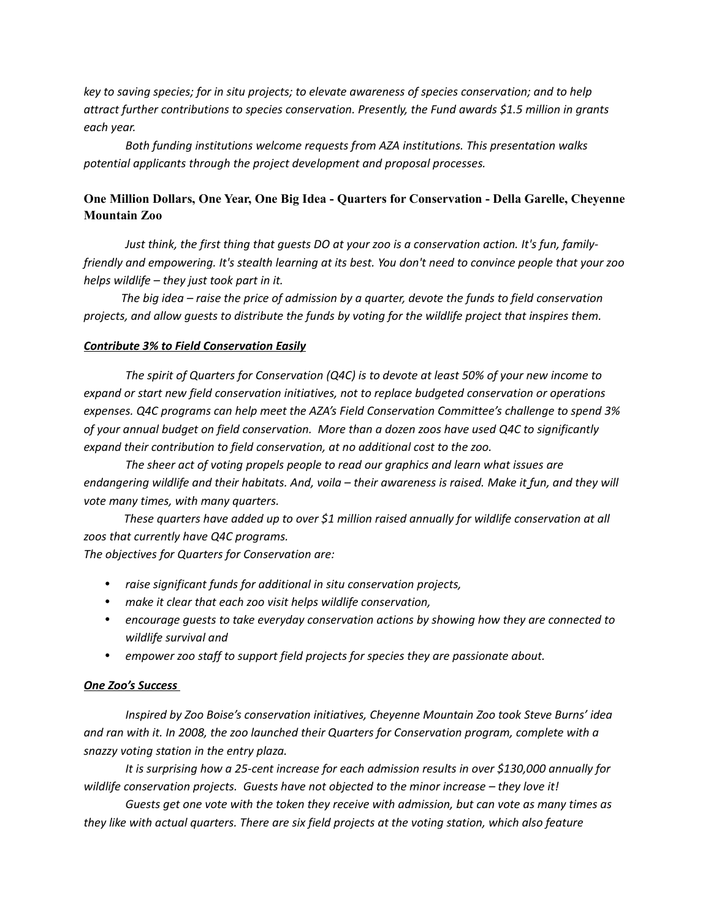*key to saving species; for in situ projects; to elevate awareness of species conservation; and to help attract further contributions to species conservation. Presently, the Fund awards \$1.5 million in grants each year.* 

*Both funding institutions welcome requests from AZA institutions. This presentation walks potential applicants through the project development and proposal processes.* 

# **One Million Dollars, One Year, One Big Idea - Quarters for Conservation - Della Garelle, Cheyenne Mountain Zoo**

*Just think, the first thing that guests DO at your zoo is a conservation action. It's fun, familyfriendly and empowering. It's stealth learning at its best. You don't need to convince people that your zoo helps wildlife – they just took part in it.*

 *The big idea – raise the price of admission by a quarter, devote the funds to field conservation projects, and allow guests to distribute the funds by voting for the wildlife project that inspires them.* 

#### *Contribute 3% to Field Conservation Easily*

*The spirit of Quarters for Conservation (Q4C) is to devote at least 50% of your new income to expand or start new field conservation initiatives, not to replace budgeted conservation or operations expenses. Q4C programs can help meet the AZA's Field Conservation Committee's challenge to spend 3% of your annual budget on field conservation. More than a dozen zoos have used Q4C to significantly expand their contribution to field conservation, at no additional cost to the zoo.* 

*The sheer act of voting propels people to read our graphics and learn what issues are endangering wildlife and their habitats. And, voila – their awareness is raised. Make it fun, and they will vote many times, with many quarters.* 

 *These quarters have added up to over \$1 million raised annually for wildlife conservation at all zoos that currently have Q4C programs.* 

*The objectives for Quarters for Conservation are:*

- *raise significant funds for additional in situ conservation projects,*
- *make it clear that each zoo visit helps wildlife conservation,*
- *encourage guests to take everyday conservation actions by showing how they are connected to wildlife survival and*
- *empower zoo staff to support field projects for species they are passionate about.*

#### *One Zoo's Success*

*Inspired by Zoo Boise's conservation initiatives, Cheyenne Mountain Zoo took Steve Burns' idea and ran with it. In 2008, the zoo launched their Quarters for Conservation program, complete with a snazzy voting station in the entry plaza.*

*It is surprising how a 25-cent increase for each admission results in over \$130,000 annually for wildlife conservation projects. Guests have not objected to the minor increase – they love it!* 

*Guests get one vote with the token they receive with admission, but can vote as many times as they like with actual quarters. There are six field projects at the voting station, which also feature*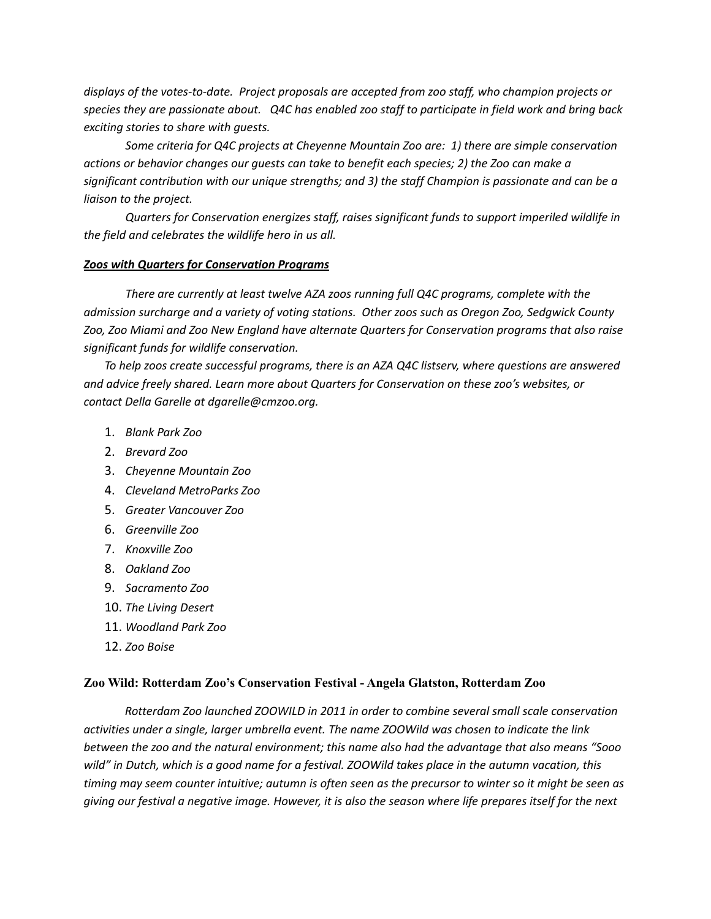*displays of the votes-to-date. Project proposals are accepted from zoo staff, who champion projects or species they are passionate about. Q4C has enabled zoo staff to participate in field work and bring back exciting stories to share with guests.* 

*Some criteria for Q4C projects at Cheyenne Mountain Zoo are: 1) there are simple conservation actions or behavior changes our guests can take to benefit each species; 2) the Zoo can make a significant contribution with our unique strengths; and 3) the staff Champion is passionate and can be a liaison to the project.* 

*Quarters for Conservation energizes staff, raises significant funds to support imperiled wildlife in the field and celebrates the wildlife hero in us all.*

#### *Zoos with Quarters for Conservation Programs*

*There are currently at least twelve AZA zoos running full Q4C programs, complete with the admission surcharge and a variety of voting stations. Other zoos such as Oregon Zoo, Sedgwick County Zoo, Zoo Miami and Zoo New England have alternate Quarters for Conservation programs that also raise significant funds for wildlife conservation.* 

*To help zoos create successful programs, there is an AZA Q4C listserv, where questions are answered and advice freely shared. Learn more about Quarters for Conservation on these zoo's websites, or contact Della Garelle at dgarelle@cmzoo.org.* 

- 1. *Blank Park Zoo*
- 2. *Brevard Zoo*
- 3. *Cheyenne Mountain Zoo*
- 4. *Cleveland MetroParks Zoo*
- 5. *Greater Vancouver Zoo*
- 6. *Greenville Zoo*
- 7. *Knoxville Zoo*
- 8. *Oakland Zoo*
- 9. *Sacramento Zoo*
- 10. *The Living Desert*
- 11. *Woodland Park Zoo*
- 12. *Zoo Boise*

#### **Zoo Wild: Rotterdam Zoo's Conservation Festival - Angela Glatston, Rotterdam Zoo**

*Rotterdam Zoo launched ZOOWILD in 2011 in order to combine several small scale conservation activities under a single, larger umbrella event. The name ZOOWild was chosen to indicate the link between the zoo and the natural environment; this name also had the advantage that also means "Sooo wild" in Dutch, which is a good name for a festival. ZOOWild takes place in the autumn vacation, this timing may seem counter intuitive; autumn is often seen as the precursor to winter so it might be seen as giving our festival a negative image. However, it is also the season where life prepares itself for the next*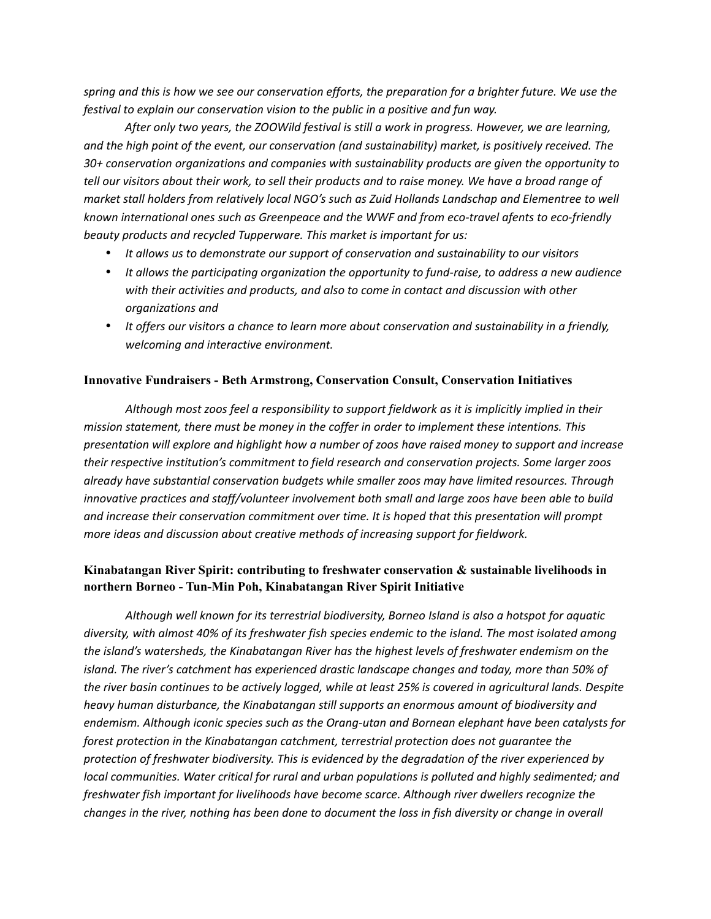*spring and this is how we see our conservation efforts, the preparation for a brighter future. We use the festival to explain our conservation vision to the public in a positive and fun way.*

*After only two years, the ZOOWild festival is still a work in progress. However, we are learning, and the high point of the event, our conservation (and sustainability) market, is positively received. The 30+ conservation organizations and companies with sustainability products are given the opportunity to tell our visitors about their work, to sell their products and to raise money. We have a broad range of market stall holders from relatively local NGO's such as Zuid Hollands Landschap and Elementree to well known international ones such as Greenpeace and the WWF and from eco-travel afents to eco-friendly beauty products and recycled Tupperware. This market is important for us:*

- *It allows us to demonstrate our support of conservation and sustainability to our visitors*
- *It allows the participating organization the opportunity to fund-raise, to address a new audience with their activities and products, and also to come in contact and discussion with other organizations and*
- *It offers our visitors a chance to learn more about conservation and sustainability in a friendly, welcoming and interactive environment.*

#### **Innovative Fundraisers - Beth Armstrong, Conservation Consult, Conservation Initiatives**

*Although most zoos feel a responsibility to support fieldwork as it is implicitly implied in their mission statement, there must be money in the coffer in order to implement these intentions. This presentation will explore and highlight how a number of zoos have raised money to support and increase their respective institution's commitment to field research and conservation projects. Some larger zoos already have substantial conservation budgets while smaller zoos may have limited resources. Through innovative practices and staff/volunteer involvement both small and large zoos have been able to build and increase their conservation commitment over time. It is hoped that this presentation will prompt more ideas and discussion about creative methods of increasing support for fieldwork.* 

# **Kinabatangan River Spirit: contributing to freshwater conservation & sustainable livelihoods in northern Borneo - Tun-Min Poh, Kinabatangan River Spirit Initiative**

*Although well known for its terrestrial biodiversity, Borneo Island is also a hotspot for aquatic diversity, with almost 40% of its freshwater fish species endemic to the island. The most isolated among the island's watersheds, the Kinabatangan River has the highest levels of freshwater endemism on the island. The river's catchment has experienced drastic landscape changes and today, more than 50% of the river basin continues to be actively logged, while at least 25% is covered in agricultural lands. Despite heavy human disturbance, the Kinabatangan still supports an enormous amount of biodiversity and endemism. Although iconic species such as the Orang-utan and Bornean elephant have been catalysts for forest protection in the Kinabatangan catchment, terrestrial protection does not guarantee the protection of freshwater biodiversity. This is evidenced by the degradation of the river experienced by local communities. Water critical for rural and urban populations is polluted and highly sedimented; and freshwater fish important for livelihoods have become scarce. Although river dwellers recognize the changes in the river, nothing has been done to document the loss in fish diversity or change in overall*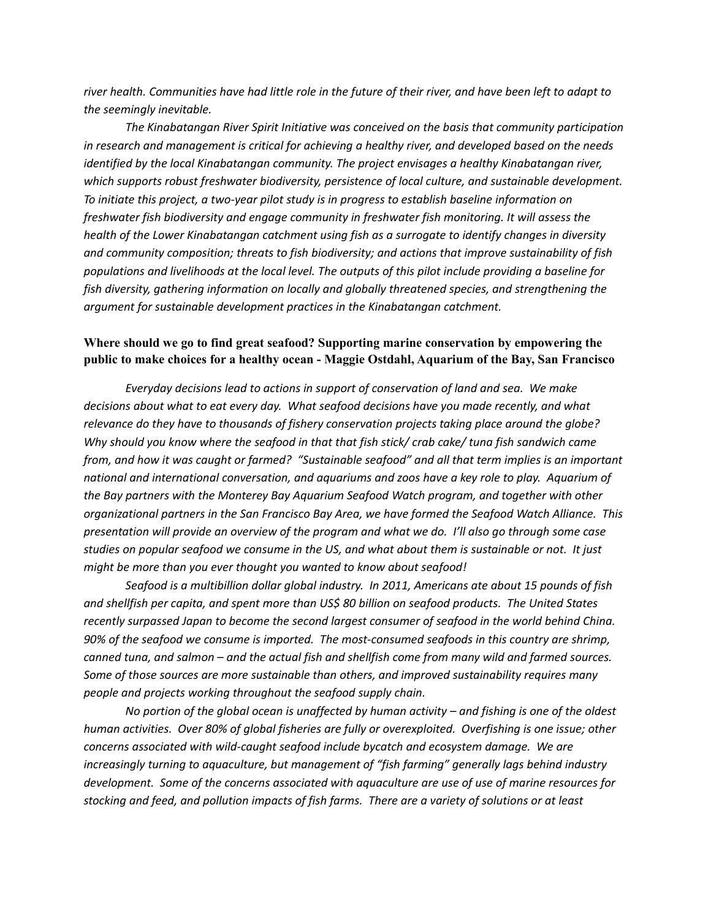*river health. Communities have had little role in the future of their river, and have been left to adapt to the seemingly inevitable.* 

*The Kinabatangan River Spirit Initiative was conceived on the basis that community participation in research and management is critical for achieving a healthy river, and developed based on the needs identified by the local Kinabatangan community. The project envisages a healthy Kinabatangan river, which supports robust freshwater biodiversity, persistence of local culture, and sustainable development. To initiate this project, a two-year pilot study is in progress to establish baseline information on freshwater fish biodiversity and engage community in freshwater fish monitoring. It will assess the health of the Lower Kinabatangan catchment using fish as a surrogate to identify changes in diversity and community composition; threats to fish biodiversity; and actions that improve sustainability of fish populations and livelihoods at the local level. The outputs of this pilot include providing a baseline for fish diversity, gathering information on locally and globally threatened species, and strengthening the argument for sustainable development practices in the Kinabatangan catchment.* 

#### **Where should we go to find great seafood? Supporting marine conservation by empowering the public to make choices for a healthy ocean - Maggie Ostdahl, Aquarium of the Bay, San Francisco**

*Everyday decisions lead to actions in support of conservation of land and sea. We make decisions about what to eat every day. What seafood decisions have you made recently, and what relevance do they have to thousands of fishery conservation projects taking place around the globe? Why should you know where the seafood in that that fish stick/ crab cake/ tuna fish sandwich came from, and how it was caught or farmed? "Sustainable seafood" and all that term implies is an important national and international conversation, and aquariums and zoos have a key role to play. Aquarium of the Bay partners with the Monterey Bay Aquarium Seafood Watch program, and together with other organizational partners in the San Francisco Bay Area, we have formed the Seafood Watch Alliance. This presentation will provide an overview of the program and what we do. I'll also go through some case studies on popular seafood we consume in the US, and what about them is sustainable or not. It just might be more than you ever thought you wanted to know about seafood!*

*Seafood is a multibillion dollar global industry. In 2011, Americans ate about 15 pounds of fish and shellfish per capita, and spent more than US\$ 80 billion on seafood products. The United States recently surpassed Japan to become the second largest consumer of seafood in the world behind China. 90% of the seafood we consume is imported. The most-consumed seafoods in this country are shrimp, canned tuna, and salmon – and the actual fish and shellfish come from many wild and farmed sources. Some of those sources are more sustainable than others, and improved sustainability requires many people and projects working throughout the seafood supply chain.*

*No portion of the global ocean is unaffected by human activity – and fishing is one of the oldest human activities. Over 80% of global fisheries are fully or overexploited. Overfishing is one issue; other concerns associated with wild-caught seafood include bycatch and ecosystem damage. We are increasingly turning to aquaculture, but management of "fish farming" generally lags behind industry development. Some of the concerns associated with aquaculture are use of use of marine resources for stocking and feed, and pollution impacts of fish farms. There are a variety of solutions or at least*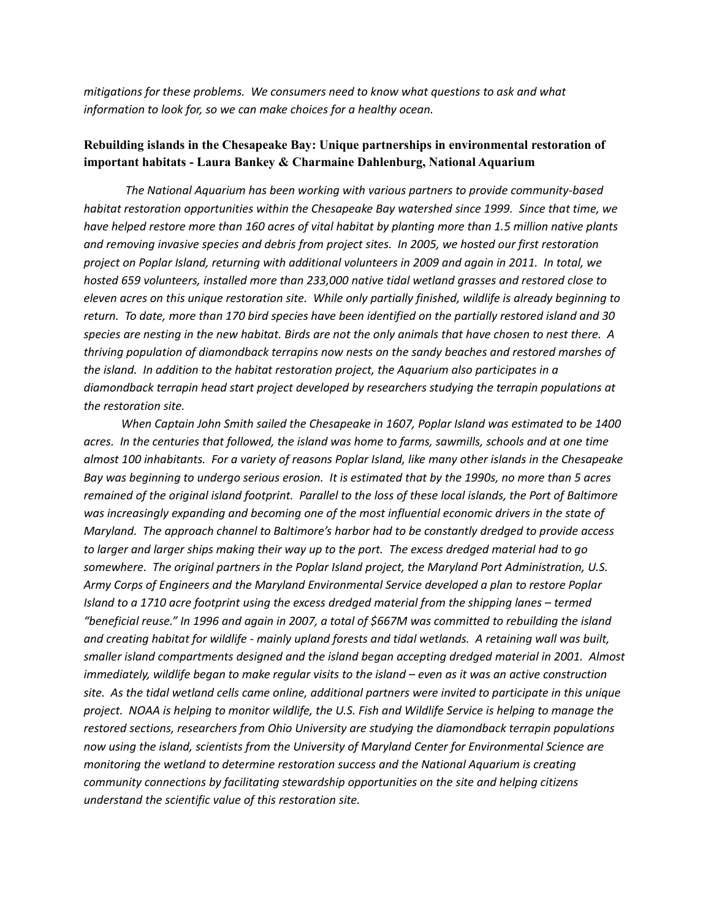*mitigations for these problems. We consumers need to know what questions to ask and what information to look for, so we can make choices for a healthy ocean.* 

## **Rebuilding islands in the Chesapeake Bay: Unique partnerships in environmental restoration of important habitats - Laura Bankey & Charmaine Dahlenburg, National Aquarium**

*The National Aquarium has been working with various partners to provide community-based habitat restoration opportunities within the Chesapeake Bay watershed since 1999. Since that time, we have helped restore more than 160 acres of vital habitat by planting more than 1.5 million native plants and removing invasive species and debris from project sites. In 2005, we hosted our first restoration project on Poplar Island, returning with additional volunteers in 2009 and again in 2011. In total, we hosted 659 volunteers, installed more than 233,000 native tidal wetland grasses and restored close to eleven acres on this unique restoration site. While only partially finished, wildlife is already beginning to return. To date, more than 170 bird species have been identified on the partially restored island and 30 species are nesting in the new habitat. Birds are not the only animals that have chosen to nest there. A thriving population of diamondback terrapins now nests on the sandy beaches and restored marshes of the island. In addition to the habitat restoration project, the Aquarium also participates in a diamondback terrapin head start project developed by researchers studying the terrapin populations at the restoration site.*

 *When Captain John Smith sailed the Chesapeake in 1607, Poplar Island was estimated to be 1400 acres. In the centuries that followed, the island was home to farms, sawmills, schools and at one time almost 100 inhabitants. For a variety of reasons Poplar Island, like many other islands in the Chesapeake Bay was beginning to undergo serious erosion. It is estimated that by the 1990s, no more than 5 acres remained of the original island footprint. Parallel to the loss of these local islands, the Port of Baltimore was increasingly expanding and becoming one of the most influential economic drivers in the state of Maryland. The approach channel to Baltimore's harbor had to be constantly dredged to provide access to larger and larger ships making their way up to the port. The excess dredged material had to go somewhere. The original partners in the Poplar Island project, the Maryland Port Administration, U.S. Army Corps of Engineers and the Maryland Environmental Service developed a plan to restore Poplar Island to a 1710 acre footprint using the excess dredged material from the shipping lanes – termed "beneficial reuse." In 1996 and again in 2007, a total of \$667M was committed to rebuilding the island and creating habitat for wildlife - mainly upland forests and tidal wetlands. A retaining wall was built, smaller island compartments designed and the island began accepting dredged material in 2001. Almost immediately, wildlife began to make regular visits to the island – even as it was an active construction site. As the tidal wetland cells came online, additional partners were invited to participate in this unique project. NOAA is helping to monitor wildlife, the U.S. Fish and Wildlife Service is helping to manage the restored sections, researchers from Ohio University are studying the diamondback terrapin populations now using the island, scientists from the University of Maryland Center for Environmental Science are monitoring the wetland to determine restoration success and the National Aquarium is creating community connections by facilitating stewardship opportunities on the site and helping citizens understand the scientific value of this restoration site.*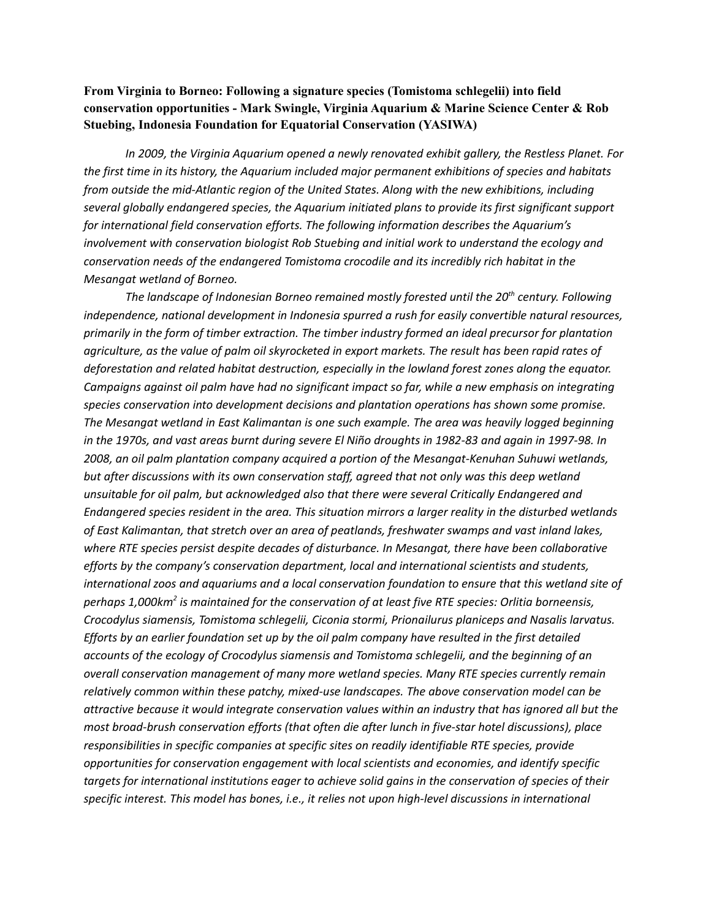**From Virginia to Borneo: Following a signature species (Tomistoma schlegelii) into field conservation opportunities - Mark Swingle, Virginia Aquarium & Marine Science Center & Rob Stuebing, Indonesia Foundation for Equatorial Conservation (YASIWA)**

*In 2009, the Virginia Aquarium opened a newly renovated exhibit gallery, the Restless Planet. For the first time in its history, the Aquarium included major permanent exhibitions of species and habitats from outside the mid-Atlantic region of the United States. Along with the new exhibitions, including several globally endangered species, the Aquarium initiated plans to provide its first significant support for international field conservation efforts. The following information describes the Aquarium's involvement with conservation biologist Rob Stuebing and initial work to understand the ecology and conservation needs of the endangered Tomistoma crocodile and its incredibly rich habitat in the Mesangat wetland of Borneo.*

*The landscape of Indonesian Borneo remained mostly forested until the 20th century. Following independence, national development in Indonesia spurred a rush for easily convertible natural resources, primarily in the form of timber extraction. The timber industry formed an ideal precursor for plantation agriculture, as the value of palm oil skyrocketed in export markets. The result has been rapid rates of deforestation and related habitat destruction, especially in the lowland forest zones along the equator. Campaigns against oil palm have had no significant impact so far, while a new emphasis on integrating species conservation into development decisions and plantation operations has shown some promise. The Mesangat wetland in East Kalimantan is one such example. The area was heavily logged beginning in the 1970s, and vast areas burnt during severe El Niño droughts in 1982-83 and again in 1997-98. In 2008, an oil palm plantation company acquired a portion of the Mesangat-Kenuhan Suhuwi wetlands, but after discussions with its own conservation staff, agreed that not only was this deep wetland unsuitable for oil palm, but acknowledged also that there were several Critically Endangered and Endangered species resident in the area. This situation mirrors a larger reality in the disturbed wetlands of East Kalimantan, that stretch over an area of peatlands, freshwater swamps and vast inland lakes, where RTE species persist despite decades of disturbance. In Mesangat, there have been collaborative efforts by the company's conservation department, local and international scientists and students, international zoos and aquariums and a local conservation foundation to ensure that this wetland site of perhaps 1,000km<sup>2</sup> is maintained for the conservation of at least five RTE species: Orlitia borneensis, Crocodylus siamensis, Tomistoma schlegelii, Ciconia stormi, Prionailurus planiceps and Nasalis larvatus. Efforts by an earlier foundation set up by the oil palm company have resulted in the first detailed accounts of the ecology of Crocodylus siamensis and Tomistoma schlegelii, and the beginning of an overall conservation management of many more wetland species. Many RTE species currently remain relatively common within these patchy, mixed-use landscapes. The above conservation model can be attractive because it would integrate conservation values within an industry that has ignored all but the most broad-brush conservation efforts (that often die after lunch in five-star hotel discussions), place responsibilities in specific companies at specific sites on readily identifiable RTE species, provide opportunities for conservation engagement with local scientists and economies, and identify specific targets for international institutions eager to achieve solid gains in the conservation of species of their specific interest. This model has bones, i.e., it relies not upon high-level discussions in international*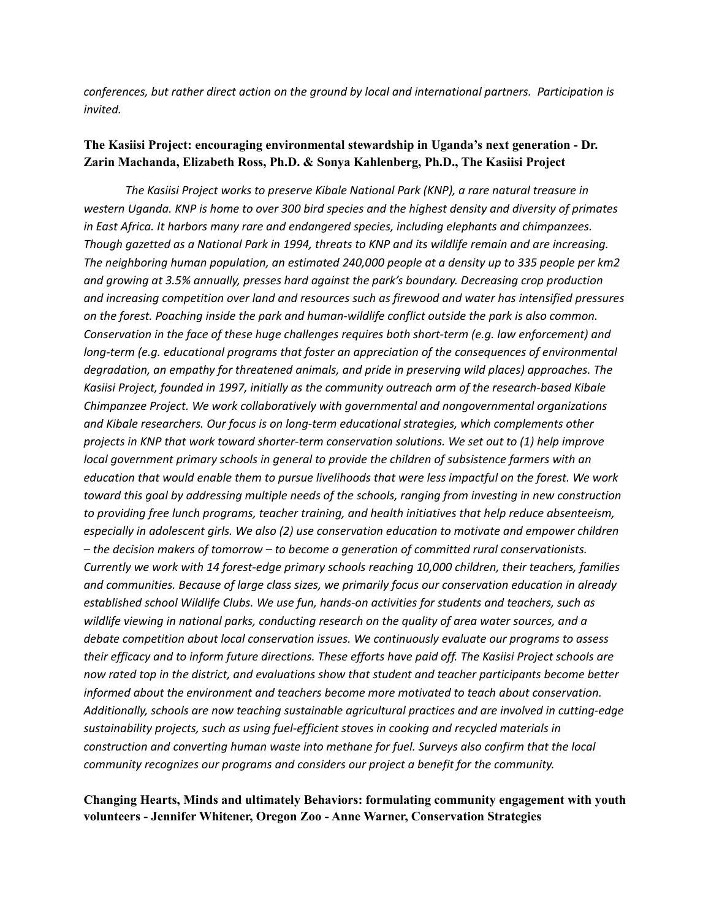*conferences, but rather direct action on the ground by local and international partners. Participation is invited.*

# **The Kasiisi Project: encouraging environmental stewardship in Uganda's next generation - Dr. Zarin Machanda, Elizabeth Ross, Ph.D. & Sonya Kahlenberg, Ph.D., The Kasiisi Project**

*The Kasiisi Project works to preserve Kibale National Park (KNP), a rare natural treasure in western Uganda. KNP is home to over 300 bird species and the highest density and diversity of primates in East Africa. It harbors many rare and endangered species, including elephants and chimpanzees. Though gazetted as a National Park in 1994, threats to KNP and its wildlife remain and are increasing. The neighboring human population, an estimated 240,000 people at a density up to 335 people per km2 and growing at 3.5% annually, presses hard against the park's boundary. Decreasing crop production and increasing competition over land and resources such as firewood and water has intensified pressures on the forest. Poaching inside the park and human-wildlife conflict outside the park is also common. Conservation in the face of these huge challenges requires both short-term (e.g. law enforcement) and long-term (e.g. educational programs that foster an appreciation of the consequences of environmental degradation, an empathy for threatened animals, and pride in preserving wild places) approaches. The Kasiisi Project, founded in 1997, initially as the community outreach arm of the research-based Kibale Chimpanzee Project. We work collaboratively with governmental and nongovernmental organizations and Kibale researchers. Our focus is on long-term educational strategies, which complements other projects in KNP that work toward shorter-term conservation solutions. We set out to (1) help improve local government primary schools in general to provide the children of subsistence farmers with an education that would enable them to pursue livelihoods that were less impactful on the forest. We work toward this goal by addressing multiple needs of the schools, ranging from investing in new construction to providing free lunch programs, teacher training, and health initiatives that help reduce absenteeism, especially in adolescent girls. We also (2) use conservation education to motivate and empower children – the decision makers of tomorrow – to become a generation of committed rural conservationists. Currently we work with 14 forest-edge primary schools reaching 10,000 children, their teachers, families and communities. Because of large class sizes, we primarily focus our conservation education in already established school Wildlife Clubs. We use fun, hands-on activities for students and teachers, such as wildlife viewing in national parks, conducting research on the quality of area water sources, and a debate competition about local conservation issues. We continuously evaluate our programs to assess their efficacy and to inform future directions. These efforts have paid off. The Kasiisi Project schools are now rated top in the district, and evaluations show that student and teacher participants become better informed about the environment and teachers become more motivated to teach about conservation. Additionally, schools are now teaching sustainable agricultural practices and are involved in cutting-edge sustainability projects, such as using fuel-efficient stoves in cooking and recycled materials in construction and converting human waste into methane for fuel. Surveys also confirm that the local community recognizes our programs and considers our project a benefit for the community.*

# **Changing Hearts, Minds and ultimately Behaviors: formulating community engagement with youth volunteers - Jennifer Whitener, Oregon Zoo - Anne Warner, Conservation Strategies**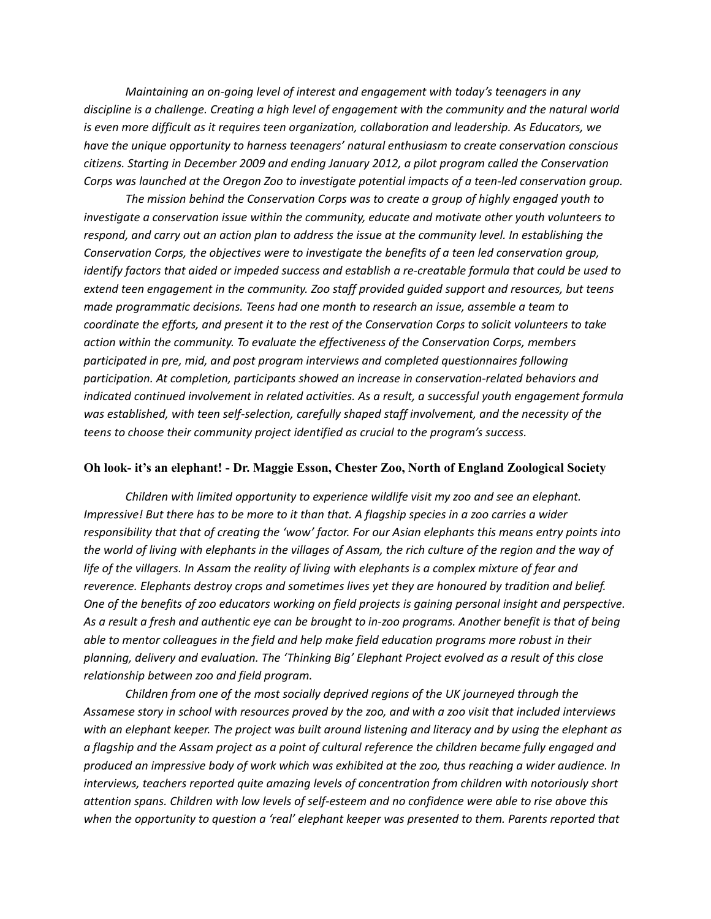*Maintaining an on-going level of interest and engagement with today's teenagers in any discipline is a challenge. Creating a high level of engagement with the community and the natural world is even more difficult as it requires teen organization, collaboration and leadership. As Educators, we have the unique opportunity to harness teenagers' natural enthusiasm to create conservation conscious citizens. Starting in December 2009 and ending January 2012, a pilot program called the Conservation Corps was launched at the Oregon Zoo to investigate potential impacts of a teen-led conservation group.*

*The mission behind the Conservation Corps was to create a group of highly engaged youth to investigate a conservation issue within the community, educate and motivate other youth volunteers to respond, and carry out an action plan to address the issue at the community level. In establishing the Conservation Corps, the objectives were to investigate the benefits of a teen led conservation group, identify factors that aided or impeded success and establish a re-creatable formula that could be used to extend teen engagement in the community. Zoo staff provided guided support and resources, but teens made programmatic decisions. Teens had one month to research an issue, assemble a team to coordinate the efforts, and present it to the rest of the Conservation Corps to solicit volunteers to take action within the community. To evaluate the effectiveness of the Conservation Corps, members participated in pre, mid, and post program interviews and completed questionnaires following participation. At completion, participants showed an increase in conservation-related behaviors and indicated continued involvement in related activities. As a result, a successful youth engagement formula was established, with teen self-selection, carefully shaped staff involvement, and the necessity of the teens to choose their community project identified as crucial to the program's success.* 

#### **Oh look- it's an elephant! - Dr. Maggie Esson, Chester Zoo, North of England Zoological Society**

*Children with limited opportunity to experience wildlife visit my zoo and see an elephant. Impressive! But there has to be more to it than that. A flagship species in a zoo carries a wider responsibility that that of creating the 'wow' factor. For our Asian elephants this means entry points into the world of living with elephants in the villages of Assam, the rich culture of the region and the way of life of the villagers. In Assam the reality of living with elephants is a complex mixture of fear and reverence. Elephants destroy crops and sometimes lives yet they are honoured by tradition and belief. One of the benefits of zoo educators working on field projects is gaining personal insight and perspective. As a result a fresh and authentic eye can be brought to in-zoo programs. Another benefit is that of being able to mentor colleagues in the field and help make field education programs more robust in their planning, delivery and evaluation. The 'Thinking Big' Elephant Project evolved as a result of this close relationship between zoo and field program.* 

*Children from one of the most socially deprived regions of the UK journeyed through the Assamese story in school with resources proved by the zoo, and with a zoo visit that included interviews with an elephant keeper. The project was built around listening and literacy and by using the elephant as a flagship and the Assam project as a point of cultural reference the children became fully engaged and produced an impressive body of work which was exhibited at the zoo, thus reaching a wider audience. In interviews, teachers reported quite amazing levels of concentration from children with notoriously short attention spans. Children with low levels of self-esteem and no confidence were able to rise above this when the opportunity to question a 'real' elephant keeper was presented to them. Parents reported that*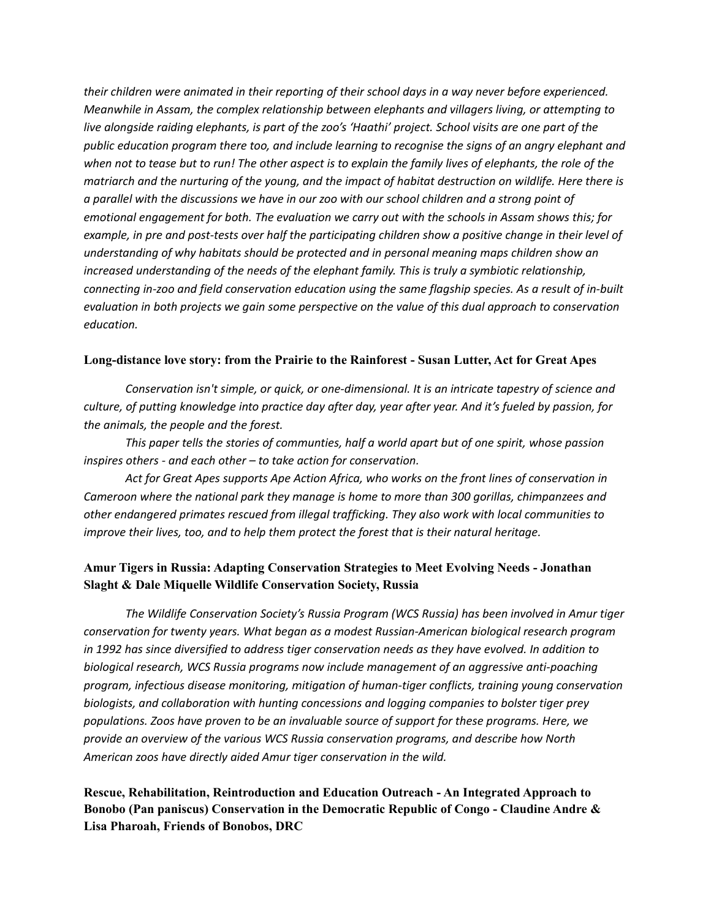*their children were animated in their reporting of their school days in a way never before experienced. Meanwhile in Assam, the complex relationship between elephants and villagers living, or attempting to live alongside raiding elephants, is part of the zoo's 'Haathi' project. School visits are one part of the public education program there too, and include learning to recognise the signs of an angry elephant and when not to tease but to run! The other aspect is to explain the family lives of elephants, the role of the matriarch and the nurturing of the young, and the impact of habitat destruction on wildlife. Here there is a parallel with the discussions we have in our zoo with our school children and a strong point of emotional engagement for both. The evaluation we carry out with the schools in Assam shows this; for example, in pre and post-tests over half the participating children show a positive change in their level of understanding of why habitats should be protected and in personal meaning maps children show an increased understanding of the needs of the elephant family. This is truly a symbiotic relationship, connecting in-zoo and field conservation education using the same flagship species. As a result of in-built evaluation in both projects we gain some perspective on the value of this dual approach to conservation education.*

#### **Long-distance love story: from the Prairie to the Rainforest - Susan Lutter, Act for Great Apes**

*Conservation isn't simple, or quick, or one-dimensional. It is an intricate tapestry of science and culture, of putting knowledge into practice day after day, year after year. And it's fueled by passion, for the animals, the people and the forest.*

*This paper tells the stories of communties, half a world apart but of one spirit, whose passion inspires others - and each other – to take action for conservation.*

*Act for Great Apes supports Ape Action Africa, who works on the front lines of conservation in Cameroon where the national park they manage is home to more than 300 gorillas, chimpanzees and other endangered primates rescued from illegal trafficking. They also work with local communities to improve their lives, too, and to help them protect the forest that is their natural heritage.* 

# **Amur Tigers in Russia: Adapting Conservation Strategies to Meet Evolving Needs - Jonathan Slaght & Dale Miquelle Wildlife Conservation Society, Russia**

*The Wildlife Conservation Society's Russia Program (WCS Russia) has been involved in Amur tiger conservation for twenty years. What began as a modest Russian-American biological research program in 1992 has since diversified to address tiger conservation needs as they have evolved. In addition to biological research, WCS Russia programs now include management of an aggressive anti-poaching program, infectious disease monitoring, mitigation of human-tiger conflicts, training young conservation biologists, and collaboration with hunting concessions and logging companies to bolster tiger prey populations. Zoos have proven to be an invaluable source of support for these programs. Here, we provide an overview of the various WCS Russia conservation programs, and describe how North American zoos have directly aided Amur tiger conservation in the wild.*

**Rescue, Rehabilitation, Reintroduction and Education Outreach - An Integrated Approach to Bonobo (Pan paniscus) Conservation in the Democratic Republic of Congo - Claudine Andre & Lisa Pharoah, Friends of Bonobos, DRC**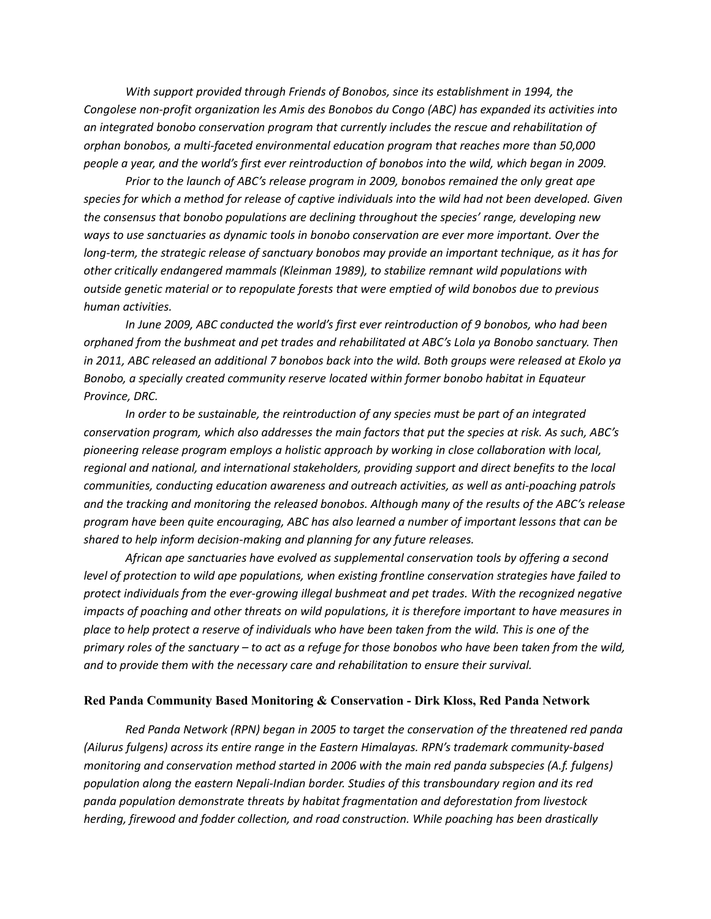*With support provided through Friends of Bonobos, since its establishment in 1994, the Congolese non-profit organization les Amis des Bonobos du Congo (ABC) has expanded its activities into an integrated bonobo conservation program that currently includes the rescue and rehabilitation of orphan bonobos, a multi-faceted environmental education program that reaches more than 50,000 people a year, and the world's first ever reintroduction of bonobos into the wild, which began in 2009.*

*Prior to the launch of ABC's release program in 2009, bonobos remained the only great ape species for which a method for release of captive individuals into the wild had not been developed. Given the consensus that bonobo populations are declining throughout the species' range, developing new ways to use sanctuaries as dynamic tools in bonobo conservation are ever more important. Over the long-term, the strategic release of sanctuary bonobos may provide an important technique, as it has for other critically endangered mammals (Kleinman 1989), to stabilize remnant wild populations with outside genetic material or to repopulate forests that were emptied of wild bonobos due to previous human activities.* 

*In June 2009, ABC conducted the world's first ever reintroduction of 9 bonobos, who had been orphaned from the bushmeat and pet trades and rehabilitated at ABC's Lola ya Bonobo sanctuary. Then in 2011, ABC released an additional 7 bonobos back into the wild. Both groups were released at Ekolo ya Bonobo, a specially created community reserve located within former bonobo habitat in Equateur Province, DRC.* 

*In order to be sustainable, the reintroduction of any species must be part of an integrated conservation program, which also addresses the main factors that put the species at risk. As such, ABC's pioneering release program employs a holistic approach by working in close collaboration with local, regional and national, and international stakeholders, providing support and direct benefits to the local communities, conducting education awareness and outreach activities, as well as anti-poaching patrols and the tracking and monitoring the released bonobos. Although many of the results of the ABC's release program have been quite encouraging, ABC has also learned a number of important lessons that can be shared to help inform decision-making and planning for any future releases.* 

*African ape sanctuaries have evolved as supplemental conservation tools by offering a second level of protection to wild ape populations, when existing frontline conservation strategies have failed to protect individuals from the ever-growing illegal bushmeat and pet trades. With the recognized negative impacts of poaching and other threats on wild populations, it is therefore important to have measures in place to help protect a reserve of individuals who have been taken from the wild. This is one of the primary roles of the sanctuary – to act as a refuge for those bonobos who have been taken from the wild, and to provide them with the necessary care and rehabilitation to ensure their survival.*

#### **Red Panda Community Based Monitoring & Conservation - Dirk Kloss, Red Panda Network**

*Red Panda Network (RPN) began in 2005 to target the conservation of the threatened red panda (Ailurus fulgens) across its entire range in the Eastern Himalayas. RPN's trademark community-based monitoring and conservation method started in 2006 with the main red panda subspecies (A.f. fulgens) population along the eastern Nepali-Indian border. Studies of this transboundary region and its red panda population demonstrate threats by habitat fragmentation and deforestation from livestock herding, firewood and fodder collection, and road construction. While poaching has been drastically*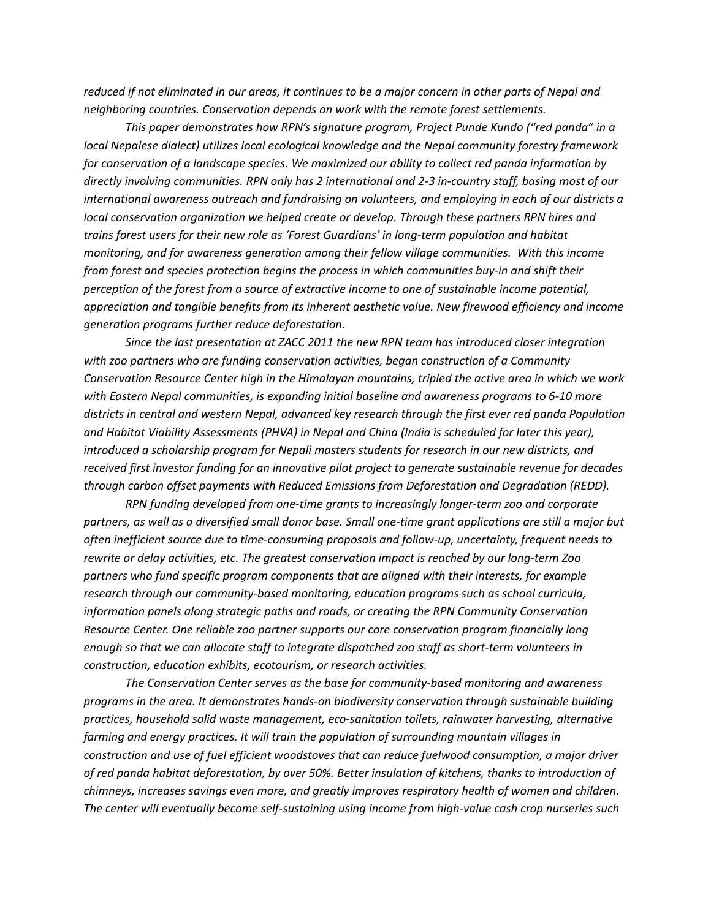*reduced if not eliminated in our areas, it continues to be a major concern in other parts of Nepal and neighboring countries. Conservation depends on work with the remote forest settlements.* 

*This paper demonstrates how RPN's signature program, Project Punde Kundo ("red panda" in a local Nepalese dialect) utilizes local ecological knowledge and the Nepal community forestry framework for conservation of a landscape species. We maximized our ability to collect red panda information by directly involving communities. RPN only has 2 international and 2-3 in-country staff, basing most of our international awareness outreach and fundraising on volunteers, and employing in each of our districts a local conservation organization we helped create or develop. Through these partners RPN hires and trains forest users for their new role as 'Forest Guardians' in long-term population and habitat monitoring, and for awareness generation among their fellow village communities. With this income from forest and species protection begins the process in which communities buy-in and shift their perception of the forest from a source of extractive income to one of sustainable income potential, appreciation and tangible benefits from its inherent aesthetic value. New firewood efficiency and income generation programs further reduce deforestation.* 

*Since the last presentation at ZACC 2011 the new RPN team has introduced closer integration with zoo partners who are funding conservation activities, began construction of a Community Conservation Resource Center high in the Himalayan mountains, tripled the active area in which we work with Eastern Nepal communities, is expanding initial baseline and awareness programs to 6-10 more districts in central and western Nepal, advanced key research through the first ever red panda Population and Habitat Viability Assessments (PHVA) in Nepal and China (India is scheduled for later this year), introduced a scholarship program for Nepali masters students for research in our new districts, and received first investor funding for an innovative pilot project to generate sustainable revenue for decades through carbon offset payments with Reduced Emissions from Deforestation and Degradation (REDD).* 

*RPN funding developed from one-time grants to increasingly longer-term zoo and corporate partners, as well as a diversified small donor base. Small one-time grant applications are still a major but often inefficient source due to time-consuming proposals and follow-up, uncertainty, frequent needs to rewrite or delay activities, etc. The greatest conservation impact is reached by our long-term Zoo partners who fund specific program components that are aligned with their interests, for example research through our community-based monitoring, education programs such as school curricula, information panels along strategic paths and roads, or creating the RPN Community Conservation Resource Center. One reliable zoo partner supports our core conservation program financially long enough so that we can allocate staff to integrate dispatched zoo staff as short-term volunteers in construction, education exhibits, ecotourism, or research activities.*

*The Conservation Center serves as the base for community-based monitoring and awareness programs in the area. It demonstrates hands-on biodiversity conservation through sustainable building practices, household solid waste management, eco-sanitation toilets, rainwater harvesting, alternative farming and energy practices. It will train the population of surrounding mountain villages in construction and use of fuel efficient woodstoves that can reduce fuelwood consumption, a major driver of red panda habitat deforestation, by over 50%. Better insulation of kitchens, thanks to introduction of chimneys, increases savings even more, and greatly improves respiratory health of women and children. The center will eventually become self-sustaining using income from high-value cash crop nurseries such*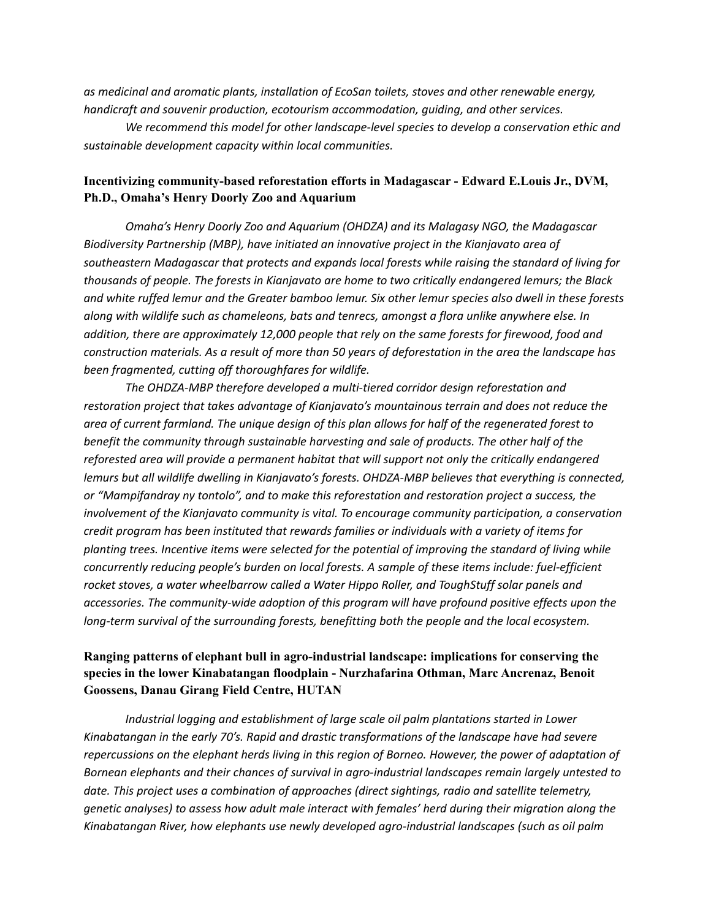*as medicinal and aromatic plants, installation of EcoSan toilets, stoves and other renewable energy, handicraft and souvenir production, ecotourism accommodation, guiding, and other services.* 

*We recommend this model for other landscape-level species to develop a conservation ethic and sustainable development capacity within local communities.*

#### **Incentivizing community-based reforestation efforts in Madagascar - Edward E.Louis Jr., DVM, Ph.D., Omaha's Henry Doorly Zoo and Aquarium**

*Omaha's Henry Doorly Zoo and Aquarium (OHDZA) and its Malagasy NGO, the Madagascar Biodiversity Partnership (MBP), have initiated an innovative project in the Kianjavato area of southeastern Madagascar that protects and expands local forests while raising the standard of living for thousands of people. The forests in Kianjavato are home to two critically endangered lemurs; the Black and white ruffed lemur and the Greater bamboo lemur. Six other lemur species also dwell in these forests along with wildlife such as chameleons, bats and tenrecs, amongst a flora unlike anywhere else. In addition, there are approximately 12,000 people that rely on the same forests for firewood, food and construction materials. As a result of more than 50 years of deforestation in the area the landscape has been fragmented, cutting off thoroughfares for wildlife.*

*The OHDZA-MBP therefore developed a multi-tiered corridor design reforestation and restoration project that takes advantage of Kianjavato's mountainous terrain and does not reduce the area of current farmland. The unique design of this plan allows for half of the regenerated forest to benefit the community through sustainable harvesting and sale of products. The other half of the reforested area will provide a permanent habitat that will support not only the critically endangered lemurs but all wildlife dwelling in Kianjavato's forests. OHDZA-MBP believes that everything is connected, or "Mampifandray ny tontolo", and to make this reforestation and restoration project a success, the involvement of the Kianjavato community is vital. To encourage community participation, a conservation credit program has been instituted that rewards families or individuals with a variety of items for planting trees. Incentive items were selected for the potential of improving the standard of living while concurrently reducing people's burden on local forests. A sample of these items include: fuel-efficient rocket stoves, a water wheelbarrow called a Water Hippo Roller, and ToughStuff solar panels and accessories. The community-wide adoption of this program will have profound positive effects upon the long-term survival of the surrounding forests, benefitting both the people and the local ecosystem.*

# **Ranging patterns of elephant bull in agro-industrial landscape: implications for conserving the species in the lower Kinabatangan floodplain - Nurzhafarina Othman, Marc Ancrenaz, Benoit Goossens, Danau Girang Field Centre, HUTAN**

*Industrial logging and establishment of large scale oil palm plantations started in Lower Kinabatangan in the early 70's. Rapid and drastic transformations of the landscape have had severe repercussions on the elephant herds living in this region of Borneo. However, the power of adaptation of Bornean elephants and their chances of survival in agro-industrial landscapes remain largely untested to date. This project uses a combination of approaches (direct sightings, radio and satellite telemetry, genetic analyses) to assess how adult male interact with females' herd during their migration along the Kinabatangan River, how elephants use newly developed agro-industrial landscapes (such as oil palm*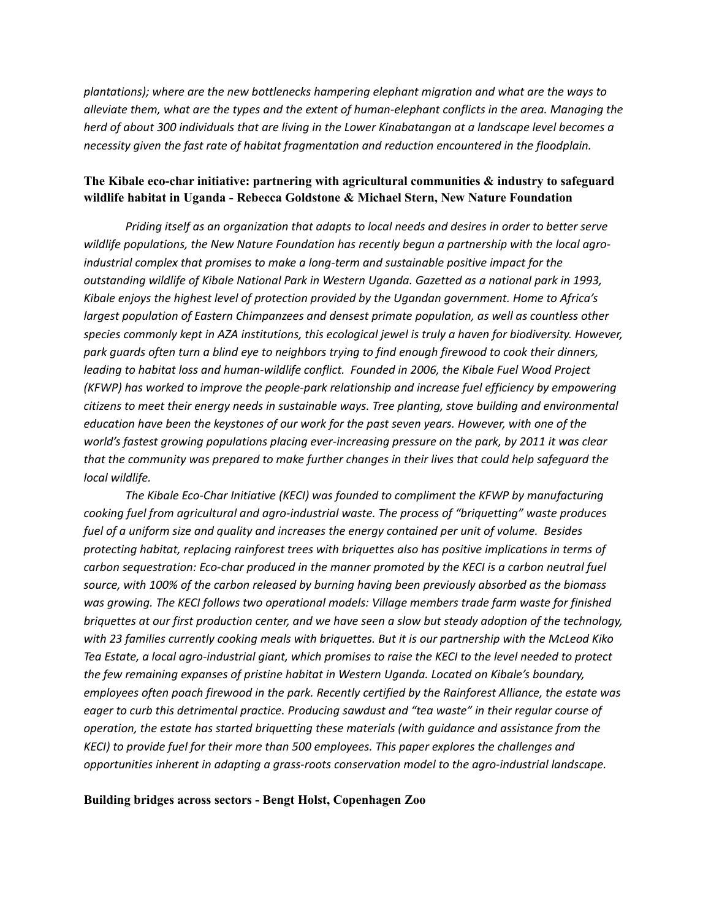*plantations); where are the new bottlenecks hampering elephant migration and what are the ways to alleviate them, what are the types and the extent of human-elephant conflicts in the area. Managing the herd of about 300 individuals that are living in the Lower Kinabatangan at a landscape level becomes a necessity given the fast rate of habitat fragmentation and reduction encountered in the floodplain.* 

#### **The Kibale eco-char initiative: partnering with agricultural communities & industry to safeguard wildlife habitat in Uganda - Rebecca Goldstone & Michael Stern, New Nature Foundation**

*Priding itself as an organization that adapts to local needs and desires in order to better serve wildlife populations, the New Nature Foundation has recently begun a partnership with the local agroindustrial complex that promises to make a long-term and sustainable positive impact for the outstanding wildlife of Kibale National Park in Western Uganda. Gazetted as a national park in 1993, Kibale enjoys the highest level of protection provided by the Ugandan government. Home to Africa's largest population of Eastern Chimpanzees and densest primate population, as well as countless other species commonly kept in AZA institutions, this ecological jewel is truly a haven for biodiversity. However, park guards often turn a blind eye to neighbors trying to find enough firewood to cook their dinners, leading to habitat loss and human-wildlife conflict. Founded in 2006, the Kibale Fuel Wood Project (KFWP) has worked to improve the people-park relationship and increase fuel efficiency by empowering citizens to meet their energy needs in sustainable ways. Tree planting, stove building and environmental education have been the keystones of our work for the past seven years. However, with one of the world's fastest growing populations placing ever-increasing pressure on the park, by 2011 it was clear that the community was prepared to make further changes in their lives that could help safeguard the local wildlife.*

*The Kibale Eco-Char Initiative (KECI) was founded to compliment the KFWP by manufacturing cooking fuel from agricultural and agro-industrial waste. The process of "briquetting" waste produces fuel of a uniform size and quality and increases the energy contained per unit of volume. Besides protecting habitat, replacing rainforest trees with briquettes also has positive implications in terms of carbon sequestration: Eco-char produced in the manner promoted by the KECI is a carbon neutral fuel source, with 100% of the carbon released by burning having been previously absorbed as the biomass was growing. The KECI follows two operational models: Village members trade farm waste for finished briquettes at our first production center, and we have seen a slow but steady adoption of the technology, with 23 families currently cooking meals with briquettes. But it is our partnership with the McLeod Kiko Tea Estate, a local agro-industrial giant, which promises to raise the KECI to the level needed to protect the few remaining expanses of pristine habitat in Western Uganda. Located on Kibale's boundary, employees often poach firewood in the park. Recently certified by the Rainforest Alliance, the estate was eager to curb this detrimental practice. Producing sawdust and "tea waste" in their regular course of operation, the estate has started briquetting these materials (with guidance and assistance from the KECI) to provide fuel for their more than 500 employees. This paper explores the challenges and opportunities inherent in adapting a grass-roots conservation model to the agro-industrial landscape.*

#### **Building bridges across sectors - Bengt Holst, Copenhagen Zoo**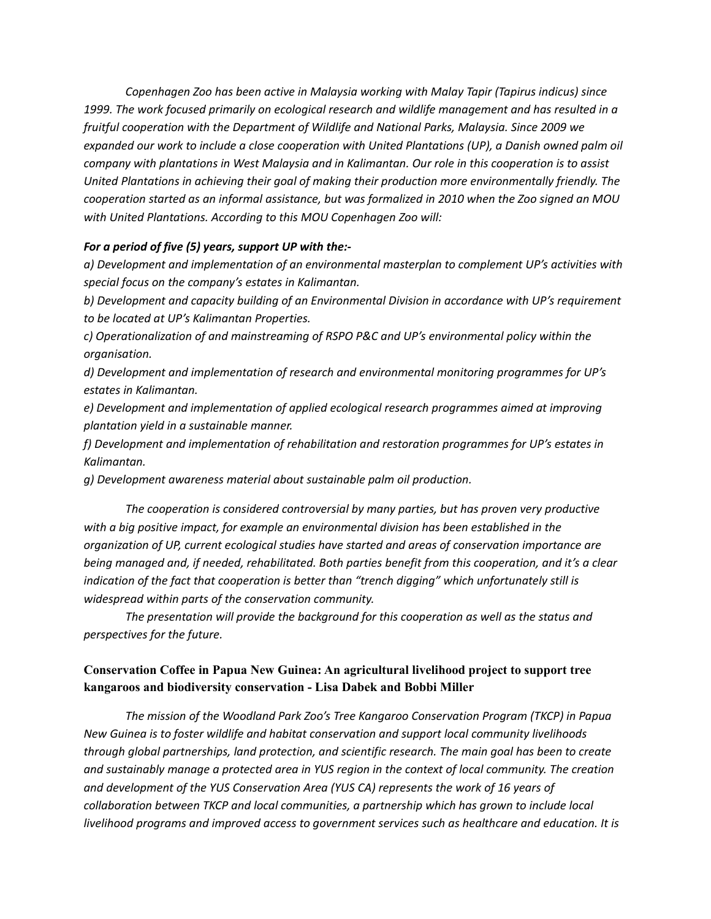*Copenhagen Zoo has been active in Malaysia working with Malay Tapir (Tapirus indicus) since 1999. The work focused primarily on ecological research and wildlife management and has resulted in a fruitful cooperation with the Department of Wildlife and National Parks, Malaysia. Since 2009 we expanded our work to include a close cooperation with United Plantations (UP), a Danish owned palm oil company with plantations in West Malaysia and in Kalimantan. Our role in this cooperation is to assist United Plantations in achieving their goal of making their production more environmentally friendly. The cooperation started as an informal assistance, but was formalized in 2010 when the Zoo signed an MOU with United Plantations. According to this MOU Copenhagen Zoo will:* 

#### *For a period of five (5) years, support UP with the:-*

*a) Development and implementation of an environmental masterplan to complement UP's activities with special focus on the company's estates in Kalimantan.*

*b) Development and capacity building of an Environmental Division in accordance with UP's requirement to be located at UP's Kalimantan Properties.*

*c) Operationalization of and mainstreaming of RSPO P&C and UP's environmental policy within the organisation.*

*d) Development and implementation of research and environmental monitoring programmes for UP's estates in Kalimantan.*

*e) Development and implementation of applied ecological research programmes aimed at improving plantation yield in a sustainable manner.*

*f) Development and implementation of rehabilitation and restoration programmes for UP's estates in Kalimantan.*

*g) Development awareness material about sustainable palm oil production.*

*The cooperation is considered controversial by many parties, but has proven very productive with a big positive impact, for example an environmental division has been established in the organization of UP, current ecological studies have started and areas of conservation importance are being managed and, if needed, rehabilitated. Both parties benefit from this cooperation, and it's a clear indication of the fact that cooperation is better than "trench digging" which unfortunately still is widespread within parts of the conservation community.* 

*The presentation will provide the background for this cooperation as well as the status and perspectives for the future.*

#### **Conservation Coffee in Papua New Guinea: An agricultural livelihood project to support tree kangaroos and biodiversity conservation - Lisa Dabek and Bobbi Miller**

*The mission of the Woodland Park Zoo's Tree Kangaroo Conservation Program (TKCP) in Papua New Guinea is to foster wildlife and habitat conservation and support local community livelihoods through global partnerships, land protection, and scientific research. The main goal has been to create and sustainably manage a protected area in YUS region in the context of local community. The creation and development of the YUS Conservation Area (YUS CA) represents the work of 16 years of collaboration between TKCP and local communities, a partnership which has grown to include local livelihood programs and improved access to government services such as healthcare and education. It is*